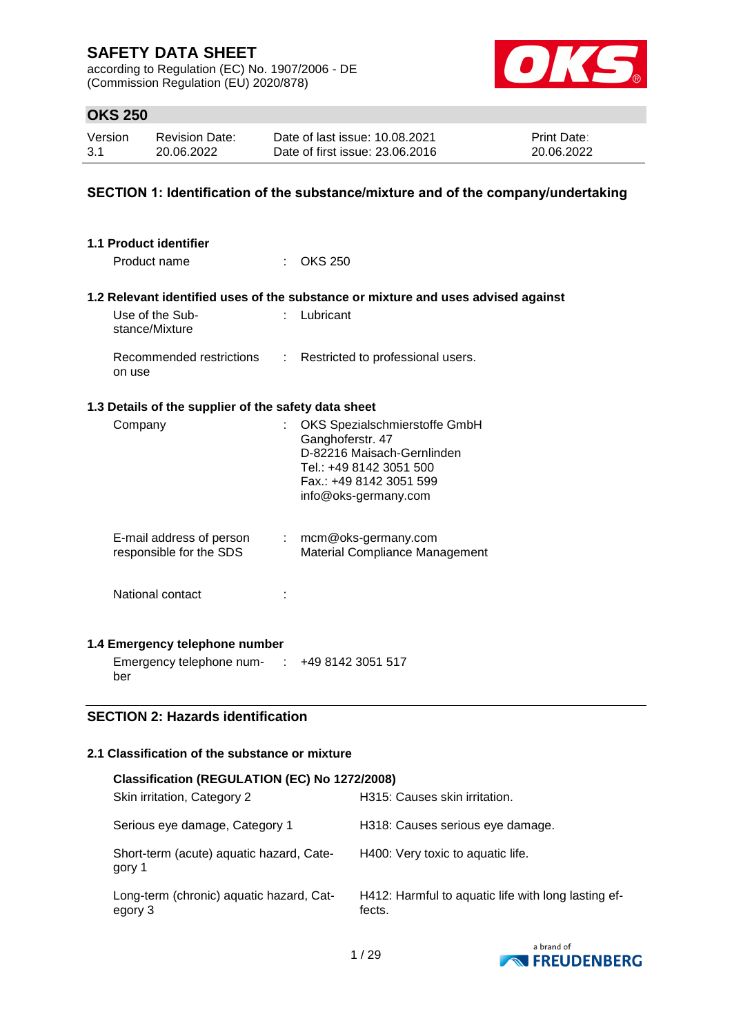according to Regulation (EC) No. 1907/2006 - DE (Commission Regulation (EU) 2020/878)



# **OKS 250**

| Version | <b>Revision Date:</b> | Date of last issue: 10.08.2021  | <b>Print Date:</b> |
|---------|-----------------------|---------------------------------|--------------------|
| 3.1     | 20.06.2022            | Date of first issue: 23,06,2016 | 20.06.2022         |

### **SECTION 1: Identification of the substance/mixture and of the company/undertaking**

| 1.1 Product identifier                                                     |               |                                                                                                                                                               |
|----------------------------------------------------------------------------|---------------|---------------------------------------------------------------------------------------------------------------------------------------------------------------|
| Product name                                                               |               | <b>OKS 250</b>                                                                                                                                                |
|                                                                            |               | 1.2 Relevant identified uses of the substance or mixture and uses advised against                                                                             |
| Use of the Sub-<br>stance/Mixture                                          |               | Lubricant                                                                                                                                                     |
| Recommended restrictions<br>on use                                         | $\mathcal{L}$ | Restricted to professional users.                                                                                                                             |
| 1.3 Details of the supplier of the safety data sheet                       |               |                                                                                                                                                               |
| Company                                                                    |               | OKS Spezialschmierstoffe GmbH<br>Ganghoferstr. 47<br>D-82216 Maisach-Gernlinden<br>Tel.: +49 8142 3051 500<br>Fax.: +49 8142 3051 599<br>info@oks-germany.com |
| E-mail address of person<br>responsible for the SDS                        |               | $:$ mcm@oks-germany.com<br>Material Compliance Management                                                                                                     |
| National contact                                                           |               |                                                                                                                                                               |
| 1.4 Emergency telephone number                                             |               |                                                                                                                                                               |
| Emergency telephone num- : +49 8142 3051 517<br>ber                        |               |                                                                                                                                                               |
| $\mathbf{H}$ and $\mathbf{H}$ and $\mathbf{H}$ are the set of $\mathbf{H}$ |               |                                                                                                                                                               |

# **SECTION 2: Hazards identification**

## **2.1 Classification of the substance or mixture**

| <b>Classification (REGULATION (EC) No 1272/2008)</b> |                                                               |
|------------------------------------------------------|---------------------------------------------------------------|
| Skin irritation, Category 2                          | H315: Causes skin irritation.                                 |
| Serious eye damage, Category 1                       | H318: Causes serious eye damage.                              |
| Short-term (acute) aquatic hazard, Cate-<br>gory 1   | H400: Very toxic to aquatic life.                             |
| Long-term (chronic) aquatic hazard, Cat-<br>egory 3  | H412: Harmful to aquatic life with long lasting ef-<br>fects. |

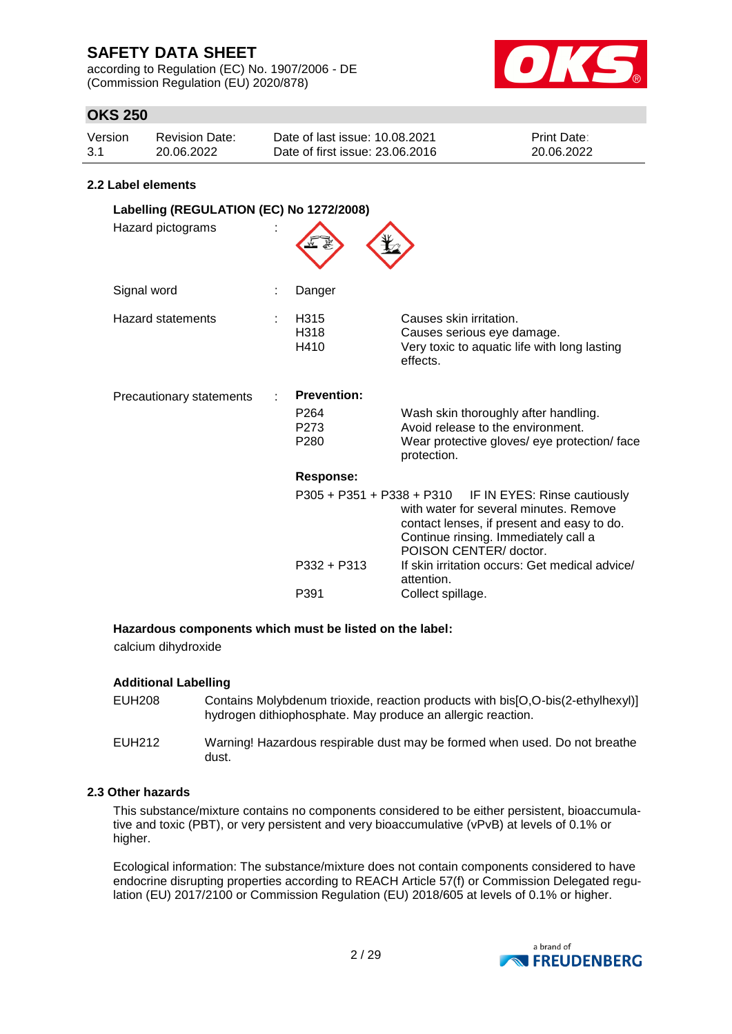according to Regulation (EC) No. 1907/2006 - DE (Commission Regulation (EU) 2020/878)



# **OKS 250**

| Version | Revision Date: | Date of last issue: 10.08.2021  | <b>Print Date:</b> |
|---------|----------------|---------------------------------|--------------------|
| 3.1     | 20.06.2022     | Date of first issue: 23,06,2016 | 20.06.2022         |

#### **2.2 Label elements**

| Labelling (REGULATION (EC) No 1272/2008)<br>Hazard pictograms |  |                                                                    |                                                                                                                                                                                                                    |  |
|---------------------------------------------------------------|--|--------------------------------------------------------------------|--------------------------------------------------------------------------------------------------------------------------------------------------------------------------------------------------------------------|--|
| Signal word                                                   |  | Danger                                                             |                                                                                                                                                                                                                    |  |
| Hazard statements                                             |  | H315<br>H318<br>H410                                               | Causes skin irritation.<br>Causes serious eye damage.<br>Very toxic to aquatic life with long lasting<br>effects.                                                                                                  |  |
| Precautionary statements                                      |  | <b>Prevention:</b><br>P <sub>264</sub><br>P273<br>P <sub>280</sub> | Wash skin thoroughly after handling.<br>Avoid release to the environment.<br>Wear protective gloves/ eye protection/ face<br>protection.                                                                           |  |
|                                                               |  | Response:                                                          |                                                                                                                                                                                                                    |  |
|                                                               |  |                                                                    | $P305 + P351 + P338 + P310$ IF IN EYES: Rinse cautiously<br>with water for several minutes. Remove<br>contact lenses, if present and easy to do.<br>Continue rinsing. Immediately call a<br>POISON CENTER/ doctor. |  |
|                                                               |  | P332 + P313                                                        | If skin irritation occurs: Get medical advice/<br>attention.                                                                                                                                                       |  |
|                                                               |  | P391                                                               | Collect spillage.                                                                                                                                                                                                  |  |

#### **Hazardous components which must be listed on the label:**

calcium dihydroxide

#### **Additional Labelling**

| EUH208 | Contains Molybdenum trioxide, reaction products with bis[O,O-bis(2-ethylhexyl)]<br>hydrogen dithiophosphate. May produce an allergic reaction. |
|--------|------------------------------------------------------------------------------------------------------------------------------------------------|
| EUH212 | Warning! Hazardous respirable dust may be formed when used. Do not breathe<br>dust.                                                            |

#### **2.3 Other hazards**

This substance/mixture contains no components considered to be either persistent, bioaccumulative and toxic (PBT), or very persistent and very bioaccumulative (vPvB) at levels of 0.1% or higher.

Ecological information: The substance/mixture does not contain components considered to have endocrine disrupting properties according to REACH Article 57(f) or Commission Delegated regulation (EU) 2017/2100 or Commission Regulation (EU) 2018/605 at levels of 0.1% or higher.

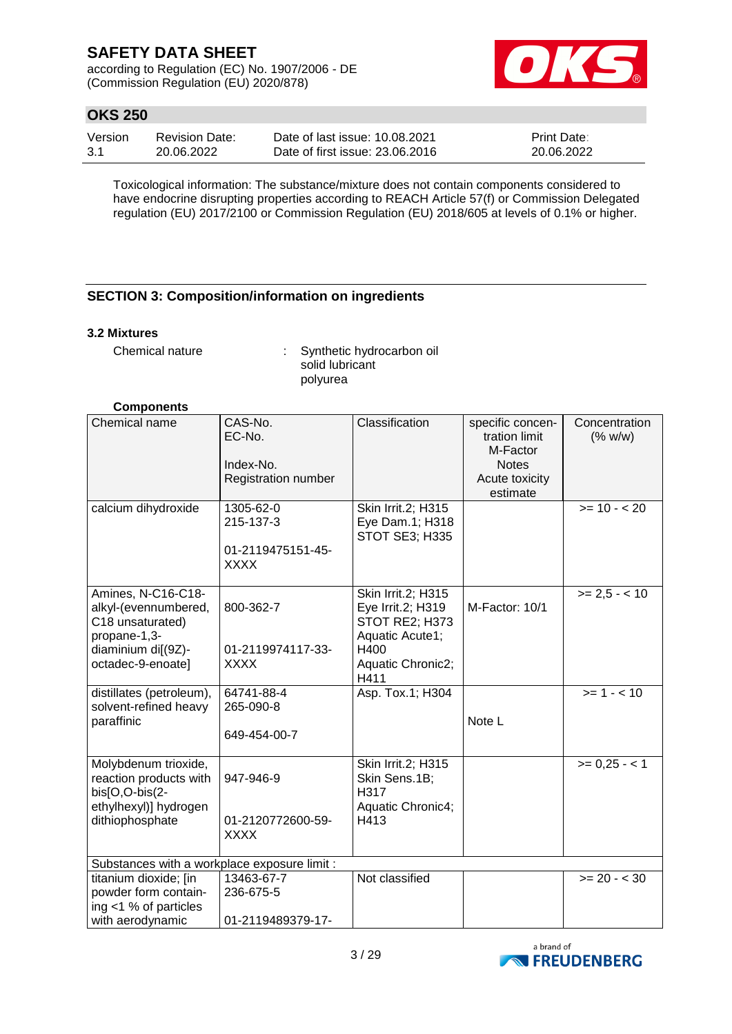according to Regulation (EC) No. 1907/2006 - DE (Commission Regulation (EU) 2020/878)



# **OKS 250**

| Version | <b>Revision Date:</b> | Date of last issue: 10.08.2021  | <b>Print Date:</b> |
|---------|-----------------------|---------------------------------|--------------------|
| -3.1    | 20.06.2022            | Date of first issue: 23,06,2016 | 20.06.2022         |

Toxicological information: The substance/mixture does not contain components considered to have endocrine disrupting properties according to REACH Article 57(f) or Commission Delegated regulation (EU) 2017/2100 or Commission Regulation (EU) 2018/605 at levels of 0.1% or higher.

### **SECTION 3: Composition/information on ingredients**

#### **3.2 Mixtures**

Chemical nature : Synthetic hydrocarbon oil solid lubricant polyurea

#### **Components**

| Chemical name                                                                                                             | CAS-No.<br>EC-No.<br>Index-No.<br>Registration number      | Classification                                                                                                    | specific concen-<br>tration limit<br>M-Factor<br><b>Notes</b><br>Acute toxicity<br>estimate | Concentration<br>(% w/w) |
|---------------------------------------------------------------------------------------------------------------------------|------------------------------------------------------------|-------------------------------------------------------------------------------------------------------------------|---------------------------------------------------------------------------------------------|--------------------------|
| calcium dihydroxide                                                                                                       | 1305-62-0<br>215-137-3<br>01-2119475151-45-<br><b>XXXX</b> | Skin Irrit.2; H315<br>Eye Dam.1; H318<br><b>STOT SE3; H335</b>                                                    |                                                                                             | $>= 10 - 20$             |
| Amines, N-C16-C18-<br>alkyl-(evennumbered,<br>C18 unsaturated)<br>propane-1,3-<br>diaminium di[(9Z)-<br>octadec-9-enoate] | 800-362-7<br>01-2119974117-33-<br><b>XXXX</b>              | Skin Irrit.2; H315<br>Eye Irrit.2; H319<br>STOT RE2; H373<br>Aquatic Acute1;<br>H400<br>Aquatic Chronic2;<br>H411 | M-Factor: 10/1                                                                              | $>= 2.5 - 10$            |
| distillates (petroleum),<br>solvent-refined heavy<br>paraffinic                                                           | 64741-88-4<br>265-090-8<br>649-454-00-7                    | Asp. Tox.1; H304                                                                                                  | Note L                                                                                      | $>= 1 - 10$              |
| Molybdenum trioxide,<br>reaction products with<br>bis[O,O-bis(2-<br>ethylhexyl)] hydrogen<br>dithiophosphate              | 947-946-9<br>01-2120772600-59-<br><b>XXXX</b>              | Skin Irrit.2; H315<br>Skin Sens.1B;<br>H317<br>Aquatic Chronic4;<br>H413                                          |                                                                                             | $>= 0,25 - 1$            |
| Substances with a workplace exposure limit :                                                                              |                                                            |                                                                                                                   |                                                                                             |                          |
| titanium dioxide; [in<br>powder form contain-<br>ing <1 % of particles<br>with aerodynamic                                | 13463-67-7<br>236-675-5<br>01-2119489379-17-               | Not classified                                                                                                    |                                                                                             | $>= 20 - 30$             |

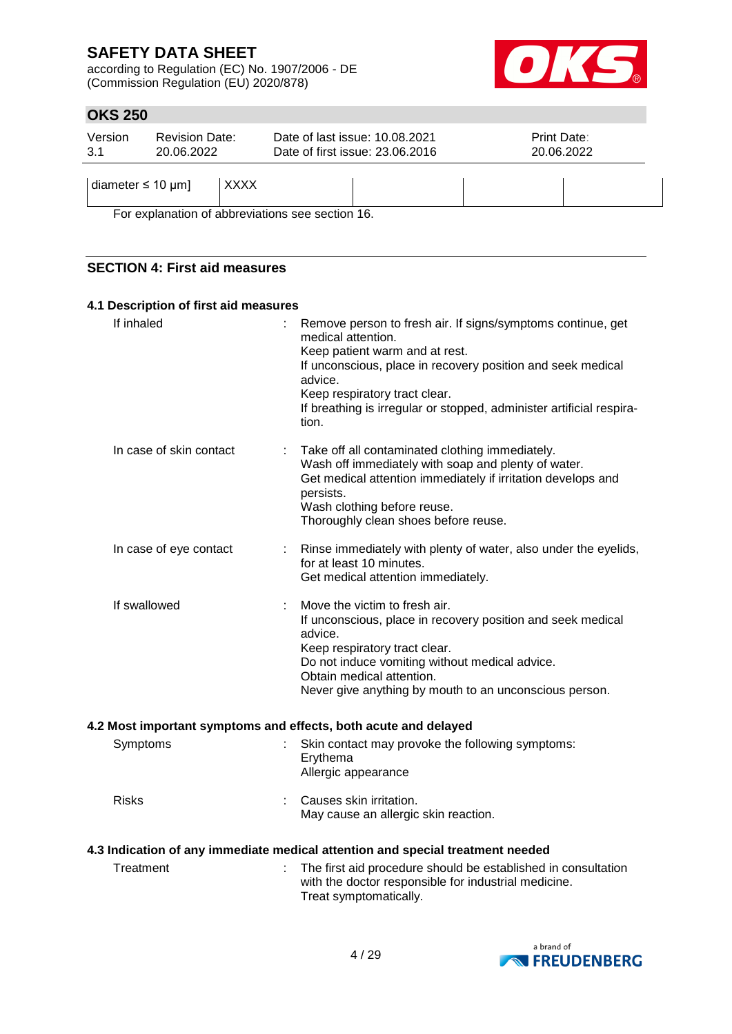according to Regulation (EC) No. 1907/2006 - DE (Commission Regulation (EU) 2020/878)



# **OKS 250**

| Version<br>3.1             | <b>Revision Date:</b><br>20.06.2022 |             | Date of last issue: 10.08.2021<br>Date of first issue: 23.06.2016 | <b>Print Date:</b><br>20.06.2022 |
|----------------------------|-------------------------------------|-------------|-------------------------------------------------------------------|----------------------------------|
| diameter $\leq 10 \mu m$ ] |                                     | <b>XXXX</b> |                                                                   |                                  |

For explanation of abbreviations see section 16.

### **SECTION 4: First aid measures**

#### **4.1 Description of first aid measures**

| If inhaled              | Remove person to fresh air. If signs/symptoms continue, get<br>medical attention.<br>Keep patient warm and at rest.<br>If unconscious, place in recovery position and seek medical<br>advice.<br>Keep respiratory tract clear.<br>If breathing is irregular or stopped, administer artificial respira-<br>tion. |
|-------------------------|-----------------------------------------------------------------------------------------------------------------------------------------------------------------------------------------------------------------------------------------------------------------------------------------------------------------|
| In case of skin contact | Take off all contaminated clothing immediately.<br>Wash off immediately with soap and plenty of water.<br>Get medical attention immediately if irritation develops and<br>persists.<br>Wash clothing before reuse.<br>Thoroughly clean shoes before reuse.                                                      |
| In case of eye contact  | Rinse immediately with plenty of water, also under the eyelids,<br>for at least 10 minutes.<br>Get medical attention immediately.                                                                                                                                                                               |
| If swallowed            | Move the victim to fresh air.<br>If unconscious, place in recovery position and seek medical<br>advice.<br>Keep respiratory tract clear.<br>Do not induce vomiting without medical advice.<br>Obtain medical attention.<br>Never give anything by mouth to an unconscious person.                               |
|                         | 4.2 Most important symptoms and effects, both acute and delayed                                                                                                                                                                                                                                                 |
| Symptoms                | Skin contact may provoke the following symptoms:<br>Erythema<br>Allergic appearance                                                                                                                                                                                                                             |
| <b>Risks</b>            | Causes skin irritation.<br>May cause an allergic skin reaction.                                                                                                                                                                                                                                                 |
|                         | 4.3 Indication of any immediate medical attention and special treatment needed                                                                                                                                                                                                                                  |
| Treatment               | The first aid procedure should be established in consultation<br>with the doctor responsible for industrial medicine.<br>Treat symptomatically.                                                                                                                                                                 |

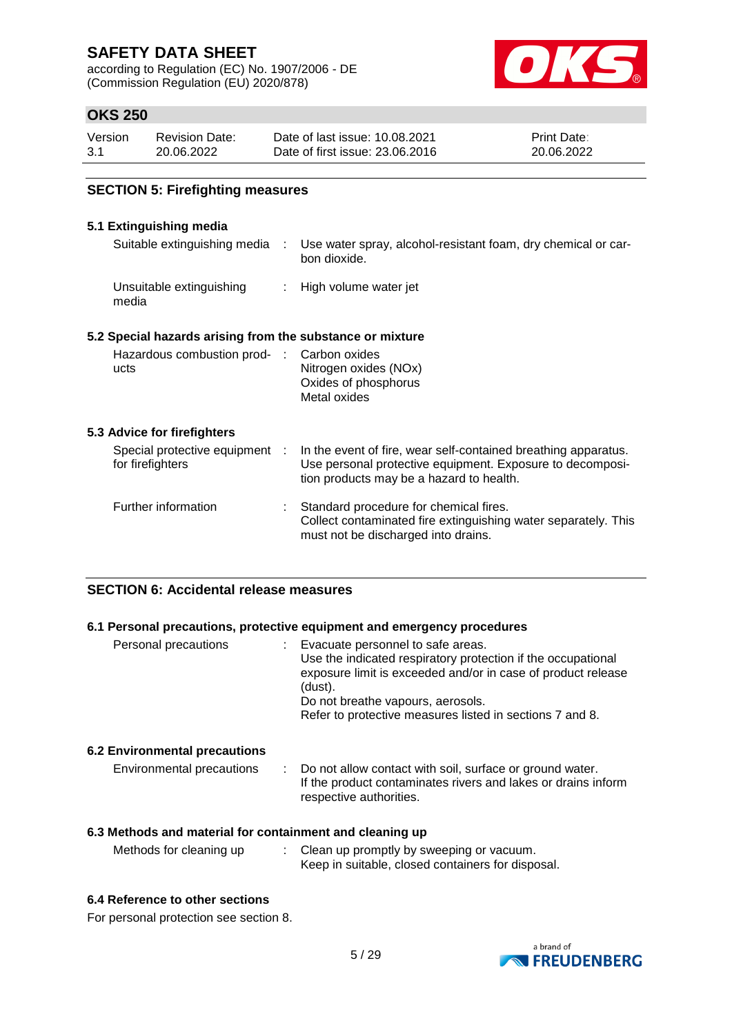according to Regulation (EC) No. 1907/2006 - DE (Commission Regulation (EU) 2020/878)



# **OKS 250**

| Version | <b>Revision Date:</b> | Date of last issue: 10.08.2021  | <b>Print Date:</b> |
|---------|-----------------------|---------------------------------|--------------------|
| -3.1    | 20.06.2022            | Date of first issue: 23,06,2016 | 20.06.2022         |

### **SECTION 5: Firefighting measures**

### **5.1 Extinguishing media**

| Suitable extinguishing media :                            | Use water spray, alcohol-resistant foam, dry chemical or car-<br>bon dioxide.                                                                                           |
|-----------------------------------------------------------|-------------------------------------------------------------------------------------------------------------------------------------------------------------------------|
| Unsuitable extinguishing<br>media                         | : High volume water jet                                                                                                                                                 |
| 5.2 Special hazards arising from the substance or mixture |                                                                                                                                                                         |
| Hazardous combustion prod- :<br>ucts                      | Carbon oxides<br>Nitrogen oxides (NOx)<br>Oxides of phosphorus<br>Metal oxides                                                                                          |
| 5.3 Advice for firefighters                               |                                                                                                                                                                         |
| Special protective equipment :<br>for firefighters        | In the event of fire, wear self-contained breathing apparatus.<br>Use personal protective equipment. Exposure to decomposi-<br>tion products may be a hazard to health. |
| Further information                                       | Standard procedure for chemical fires.<br>Collect contaminated fire extinguishing water separately. This<br>must not be discharged into drains.                         |

#### **SECTION 6: Accidental release measures**

### **6.1 Personal precautions, protective equipment and emergency procedures**

| Personal precautions | (dust). | Evacuate personnel to safe areas.<br>Use the indicated respiratory protection if the occupational<br>exposure limit is exceeded and/or in case of product release<br>Do not breathe vapours, aerosols.<br>Refer to protective measures listed in sections 7 and 8. |
|----------------------|---------|--------------------------------------------------------------------------------------------------------------------------------------------------------------------------------------------------------------------------------------------------------------------|
|                      |         |                                                                                                                                                                                                                                                                    |

#### **6.2 Environmental precautions**

| Environmental precautions | Do not allow contact with soil, surface or ground water.      |
|---------------------------|---------------------------------------------------------------|
|                           | If the product contaminates rivers and lakes or drains inform |
|                           | respective authorities.                                       |

### **6.3 Methods and material for containment and cleaning up**

| Methods for cleaning up | Clean up promptly by sweeping or vacuum.          |
|-------------------------|---------------------------------------------------|
|                         | Keep in suitable, closed containers for disposal. |

#### **6.4 Reference to other sections**

For personal protection see section 8.

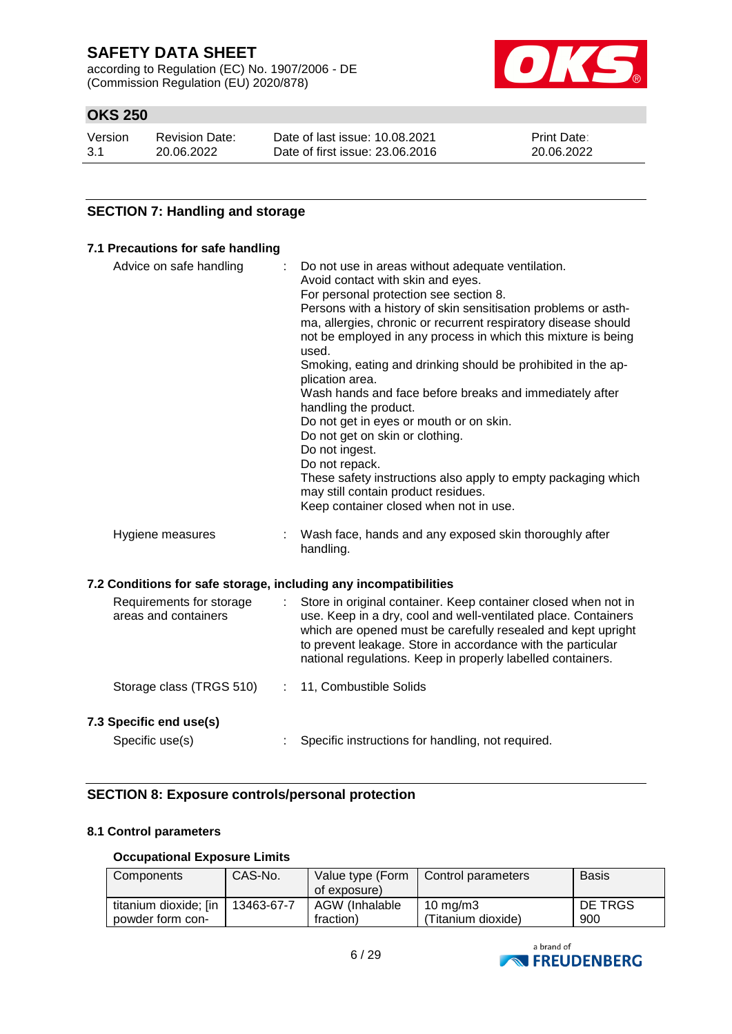according to Regulation (EC) No. 1907/2006 - DE (Commission Regulation (EU) 2020/878)



# **OKS 250**

| Version | <b>Revision Date:</b> | Date of last issue: 10.08.2021  | <b>Print Date:</b> |
|---------|-----------------------|---------------------------------|--------------------|
| 3.1     | 20.06.2022            | Date of first issue: 23,06,2016 | 20.06.2022         |

### **SECTION 7: Handling and storage**

#### **7.1 Precautions for safe handling**

| Advice on safe handling<br>Avoid contact with skin and eyes.<br>used.<br>plication area.<br>handling the product. |   | Do not use in areas without adequate ventilation.<br>For personal protection see section 8.<br>Persons with a history of skin sensitisation problems or asth-<br>ma, allergies, chronic or recurrent respiratory disease should<br>not be employed in any process in which this mixture is being<br>Smoking, eating and drinking should be prohibited in the ap-<br>Wash hands and face before breaks and immediately after<br>Do not get in eyes or mouth or on skin. |  |
|-------------------------------------------------------------------------------------------------------------------|---|------------------------------------------------------------------------------------------------------------------------------------------------------------------------------------------------------------------------------------------------------------------------------------------------------------------------------------------------------------------------------------------------------------------------------------------------------------------------|--|
|                                                                                                                   |   | Do not get on skin or clothing.<br>Do not ingest.<br>Do not repack.<br>These safety instructions also apply to empty packaging which<br>may still contain product residues.<br>Keep container closed when not in use.                                                                                                                                                                                                                                                  |  |
| Hygiene measures                                                                                                  |   | Wash face, hands and any exposed skin thoroughly after<br>handling.                                                                                                                                                                                                                                                                                                                                                                                                    |  |
| 7.2 Conditions for safe storage, including any incompatibilities                                                  |   |                                                                                                                                                                                                                                                                                                                                                                                                                                                                        |  |
| Requirements for storage<br>areas and containers                                                                  | ÷ | Store in original container. Keep container closed when not in<br>use. Keep in a dry, cool and well-ventilated place. Containers<br>which are opened must be carefully resealed and kept upright<br>to prevent leakage. Store in accordance with the particular<br>national regulations. Keep in properly labelled containers.                                                                                                                                         |  |
| Storage class (TRGS 510)                                                                                          | ÷ | 11, Combustible Solids                                                                                                                                                                                                                                                                                                                                                                                                                                                 |  |
| 7.3 Specific end use(s)                                                                                           |   |                                                                                                                                                                                                                                                                                                                                                                                                                                                                        |  |
| Specific use(s)                                                                                                   |   | Specific instructions for handling, not required.                                                                                                                                                                                                                                                                                                                                                                                                                      |  |

### **SECTION 8: Exposure controls/personal protection**

#### **8.1 Control parameters**

#### **Occupational Exposure Limits**

| Components            | CAS-No.    | Value type (Form<br>of exposure) | Control parameters | <b>Basis</b> |
|-----------------------|------------|----------------------------------|--------------------|--------------|
| titanium dioxide; [in | 13463-67-7 | AGW (Inhalable                   | 10 mg/m $3$        | DE TRGS      |
| powder form con-      |            | fraction)                        | 'Titanium dioxide) | 900          |

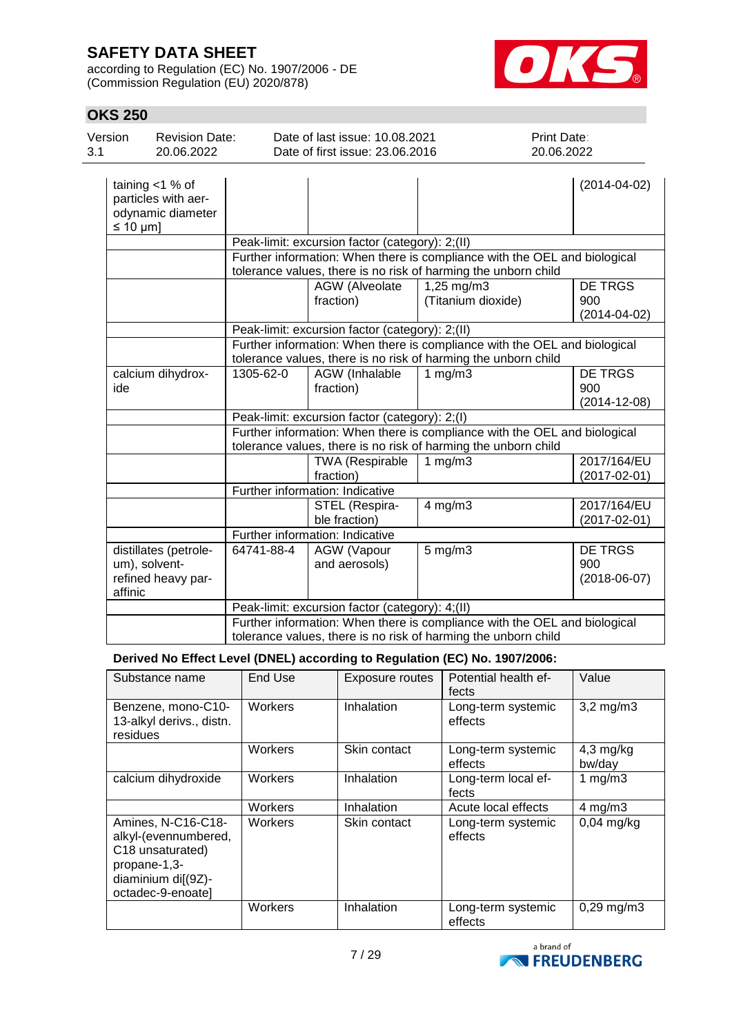according to Regulation (EC) No. 1907/2006 - DE (Commission Regulation (EU) 2020/878)



# **OKS 250**

| טו⊿ בטט        |                                                                |            |                                                                   |                                  |                                                                           |
|----------------|----------------------------------------------------------------|------------|-------------------------------------------------------------------|----------------------------------|---------------------------------------------------------------------------|
| Version<br>3.1 | <b>Revision Date:</b><br>20.06.2022                            |            | Date of last issue: 10.08.2021<br>Date of first issue: 23.06.2016 |                                  | Print Date:<br>20.06.2022                                                 |
| $\leq 10$ µm]  | taining $<$ 1 % of<br>particles with aer-<br>odynamic diameter |            |                                                                   |                                  | $(2014 - 04 - 02)$                                                        |
|                |                                                                |            | Peak-limit: excursion factor (category): 2;(II)                   |                                  |                                                                           |
|                |                                                                |            | tolerance values, there is no risk of harming the unborn child    |                                  | Further information: When there is compliance with the OEL and biological |
|                |                                                                |            | AGW (Alveolate<br>fraction)                                       | 1,25 mg/m3<br>(Titanium dioxide) | <b>DE TRGS</b><br>900<br>$(2014 - 04 - 02)$                               |
|                |                                                                |            | Peak-limit: excursion factor (category): 2;(II)                   |                                  |                                                                           |
|                |                                                                |            | tolerance values, there is no risk of harming the unborn child    |                                  | Further information: When there is compliance with the OEL and biological |
| ide            | calcium dihydrox-                                              | 1305-62-0  | AGW (Inhalable<br>fraction)                                       | 1 $mg/m3$                        | <b>DE TRGS</b><br>900<br>$(2014 - 12 - 08)$                               |
|                |                                                                |            | Peak-limit: excursion factor (category): 2;(I)                    |                                  |                                                                           |
|                |                                                                |            | tolerance values, there is no risk of harming the unborn child    |                                  | Further information: When there is compliance with the OEL and biological |
|                |                                                                |            | TWA (Respirable<br>fraction)                                      | 1 $mg/m3$                        | 2017/164/EU<br>$(2017 - 02 - 01)$                                         |
|                |                                                                |            | Further information: Indicative                                   |                                  |                                                                           |
|                |                                                                |            | STEL (Respira-<br>ble fraction)                                   | $4$ mg/m $3$                     | 2017/164/EU<br>$(2017 - 02 - 01)$                                         |
|                |                                                                |            | Further information: Indicative                                   |                                  |                                                                           |
| affinic        | distillates (petrole-<br>um), solvent-<br>refined heavy par-   | 64741-88-4 | AGW (Vapour<br>and aerosols)                                      | $5$ mg/m $3$                     | <b>DE TRGS</b><br>900<br>$(2018-06-07)$                                   |
|                |                                                                |            | Peak-limit: excursion factor (category): 4;(II)                   |                                  |                                                                           |
|                |                                                                |            | tolerance values, there is no risk of harming the unborn child    |                                  | Further information: When there is compliance with the OEL and biological |

### **Derived No Effect Level (DNEL) according to Regulation (EC) No. 1907/2006:**

| Substance name                                                                                                            | End Use | <b>Exposure routes</b> | Potential health ef-<br>fects | Value                 |
|---------------------------------------------------------------------------------------------------------------------------|---------|------------------------|-------------------------------|-----------------------|
| Benzene, mono-C10-<br>13-alkyl derivs., distn.<br>residues                                                                | Workers | Inhalation             | Long-term systemic<br>effects | $3,2$ mg/m $3$        |
|                                                                                                                           | Workers | Skin contact           | Long-term systemic<br>effects | $4,3$ mg/kg<br>bw/day |
| calcium dihydroxide                                                                                                       | Workers | Inhalation             | Long-term local ef-<br>fects  | 1 $mg/m3$             |
|                                                                                                                           | Workers | Inhalation             | Acute local effects           | $4 \text{ mg/m}$ 3    |
| Amines, N-C16-C18-<br>alkyl-(evennumbered,<br>C18 unsaturated)<br>propane-1,3-<br>diaminium di[(9Z)-<br>octadec-9-enoatel | Workers | Skin contact           | Long-term systemic<br>effects | $0.04$ mg/kg          |
|                                                                                                                           | Workers | Inhalation             | Long-term systemic<br>effects | $0,29$ mg/m $3$       |

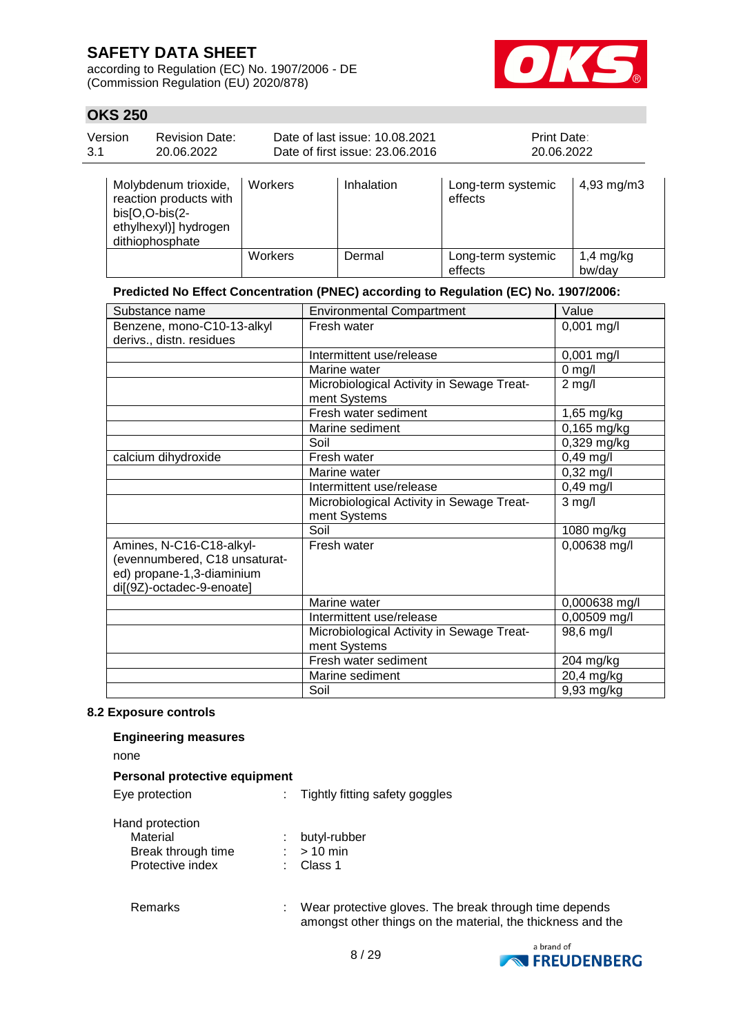dithiophosphate

according to Regulation (EC) No. 1907/2006 - DE (Commission Regulation (EU) 2020/878)



1,4 mg/kg bw/day

# **OKS 250**

| Version<br>3.1 | <b>Revision Date:</b><br>20.06.2022                                                         |         | Date of last issue: 10.08.2021<br>Date of first issue: 23.06.2016 | <b>Print Date:</b><br>20.06.2022 |                        |
|----------------|---------------------------------------------------------------------------------------------|---------|-------------------------------------------------------------------|----------------------------------|------------------------|
|                | Molybdenum trioxide,<br>reaction products with<br>$bis[O,O-bis(2-$<br>ethylhexyl)] hydrogen | Workers | Inhalation                                                        | Long-term systemic<br>effects    | $4,93 \, \text{mg/m3}$ |

### **Predicted No Effect Concentration (PNEC) according to Regulation (EC) No. 1907/2006:**

Workers Dermal Long-term systemic

effects

| Substance name                | <b>Environmental Compartment</b>          | Value                      |
|-------------------------------|-------------------------------------------|----------------------------|
| Benzene, mono-C10-13-alkyl    | Fresh water                               | $0,001$ mg/l               |
| derivs., distn. residues      |                                           |                            |
|                               | Intermittent use/release                  | 0,001 mg/l                 |
|                               | Marine water                              | $0$ mg/l                   |
|                               | Microbiological Activity in Sewage Treat- | $2$ mg/l                   |
|                               | ment Systems                              |                            |
|                               | Fresh water sediment                      | 1,65 mg/kg                 |
|                               | Marine sediment                           | $\overline{0}$ , 165 mg/kg |
|                               | Soil                                      | 0,329 mg/kg                |
| calcium dihydroxide           | Fresh water                               | 0,49 mg/l                  |
|                               | Marine water                              | $0,32$ mg/l                |
|                               | Intermittent use/release                  | $0,49$ mg/l                |
|                               | Microbiological Activity in Sewage Treat- | $3$ mg/l                   |
|                               | ment Systems                              |                            |
|                               | Soil                                      | 1080 mg/kg                 |
| Amines, N-C16-C18-alkyl-      | Fresh water                               | 0,00638 mg/l               |
| (evennumbered, C18 unsaturat- |                                           |                            |
| ed) propane-1,3-diaminium     |                                           |                            |
| di[(9Z)-octadec-9-enoate]     |                                           |                            |
|                               | Marine water                              | 0,000638 mg/l              |
|                               | Intermittent use/release                  | 0,00509 mg/l               |
|                               | Microbiological Activity in Sewage Treat- | 98,6 mg/l                  |
|                               | ment Systems                              |                            |
|                               | Fresh water sediment                      | 204 mg/kg                  |
|                               | Marine sediment                           | 20,4 mg/kg                 |
|                               | Soil                                      | 9,93 mg/kg                 |

#### **8.2 Exposure controls**

#### **Engineering measures**

none

#### **Personal protective equipment**

Eye protection : Tightly fitting safety goggles

#### Hand protection

| una protocioni     |                |
|--------------------|----------------|
| Material           | : butyl-rubber |
| Break through time | $:$ > 10 min   |
| Protective index   | : Class 1      |

Remarks : Wear protective gloves. The break through time depends amongst other things on the material, the thickness and the

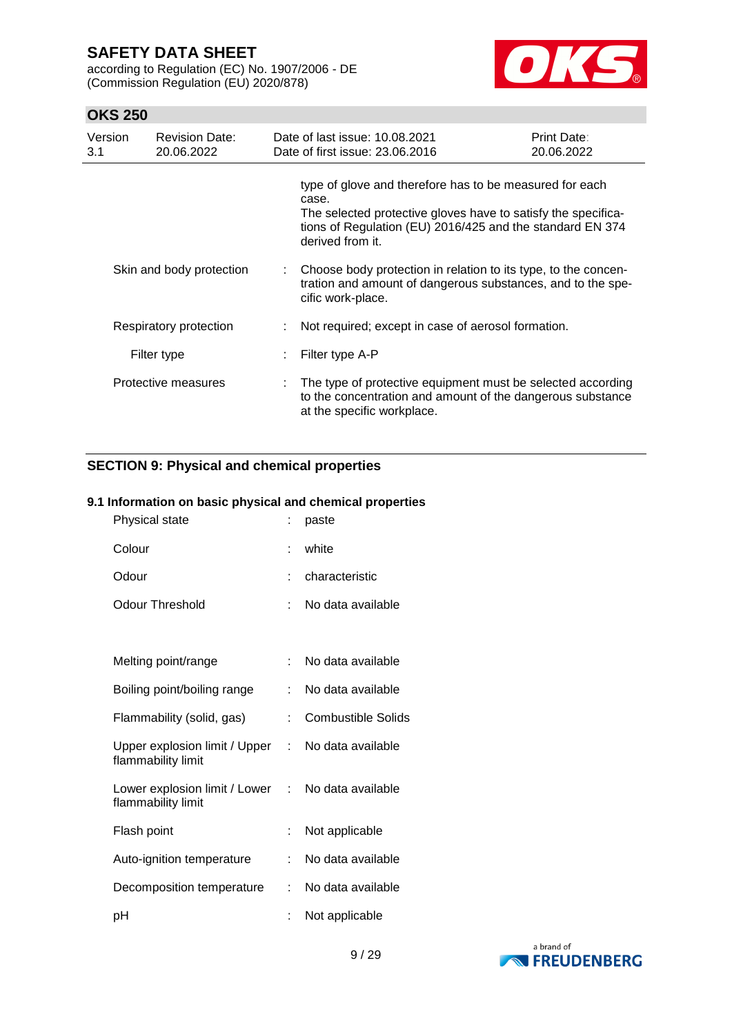according to Regulation (EC) No. 1907/2006 - DE (Commission Regulation (EU) 2020/878)



# **OKS 250**

| Version<br>3.1 | <b>Revision Date:</b><br>20.06.2022 |    | Date of last issue: 10.08.2021<br>Date of first issue: 23.06.2016                                                                                                                                                  | Print Date:<br>20.06.2022 |
|----------------|-------------------------------------|----|--------------------------------------------------------------------------------------------------------------------------------------------------------------------------------------------------------------------|---------------------------|
|                |                                     |    | type of glove and therefore has to be measured for each<br>case.<br>The selected protective gloves have to satisfy the specifica-<br>tions of Regulation (EU) 2016/425 and the standard EN 374<br>derived from it. |                           |
|                | Skin and body protection            | t. | Choose body protection in relation to its type, to the concen-<br>tration and amount of dangerous substances, and to the spe-<br>cific work-place.                                                                 |                           |
|                | Respiratory protection              |    | Not required; except in case of aerosol formation.                                                                                                                                                                 |                           |
|                | Filter type                         |    | Filter type A-P                                                                                                                                                                                                    |                           |
|                | Protective measures                 |    | : The type of protective equipment must be selected according<br>to the concentration and amount of the dangerous substance<br>at the specific workplace.                                                          |                           |

### **SECTION 9: Physical and chemical properties**

### **9.1 Information on basic physical and chemical properties**

| Physical state                                      |    | paste                     |
|-----------------------------------------------------|----|---------------------------|
| Colour                                              |    | white                     |
| Odour                                               |    | characteristic            |
| <b>Odour Threshold</b>                              | ÷. | No data available         |
|                                                     |    |                           |
| Melting point/range                                 | ÷  | No data available         |
| Boiling point/boiling range                         |    | No data available         |
| Flammability (solid, gas)                           | t. | <b>Combustible Solids</b> |
| Upper explosion limit / Upper<br>flammability limit | t. | No data available         |
| Lower explosion limit / Lower<br>flammability limit |    | : No data available       |
| Flash point                                         |    | Not applicable            |
| Auto-ignition temperature                           |    | No data available         |
| Decomposition temperature                           | t. | No data available         |
| рH                                                  |    | Not applicable            |

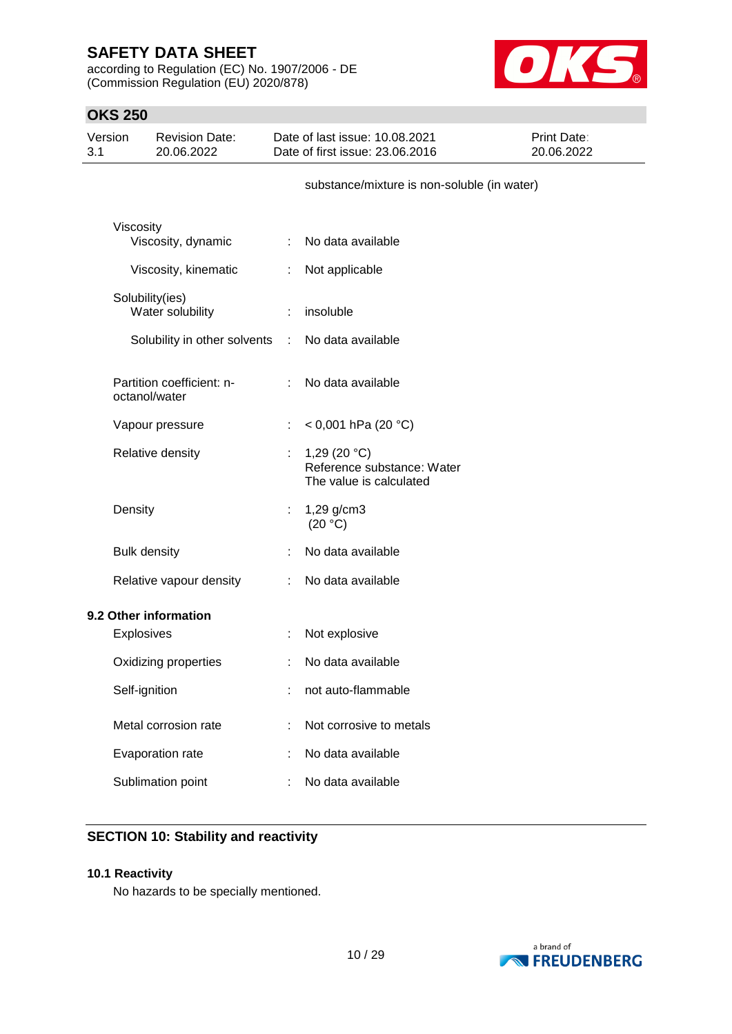according to Regulation (EC) No. 1907/2006 - DE (Commission Regulation (EU) 2020/878)



# **OKS 250**

| Version<br>3.1 |                     | <b>Revision Date:</b><br>20.06.2022 |                | Date of last issue: 10.08.2021<br>Date of first issue: 23.06.2016       | Print Date:<br>20.06.2022 |
|----------------|---------------------|-------------------------------------|----------------|-------------------------------------------------------------------------|---------------------------|
|                |                     |                                     |                | substance/mixture is non-soluble (in water)                             |                           |
|                | Viscosity           | Viscosity, dynamic                  |                | : No data available                                                     |                           |
|                |                     | Viscosity, kinematic                | ÷              | Not applicable                                                          |                           |
|                | Solubility(ies)     | Water solubility                    | $\mathbb{R}^n$ | insoluble                                                               |                           |
|                |                     | Solubility in other solvents        | $\mathbb{C}$   | No data available                                                       |                           |
|                | octanol/water       | Partition coefficient: n-           |                | : No data available                                                     |                           |
|                |                     | Vapour pressure                     | ÷              | < 0,001 hPa (20 °C)                                                     |                           |
|                | Relative density    |                                     | ÷              | 1,29 $(20 °C)$<br>Reference substance: Water<br>The value is calculated |                           |
|                | Density             |                                     | ÷              | 1,29 g/cm3<br>(20 °C)                                                   |                           |
|                | <b>Bulk density</b> |                                     |                | No data available                                                       |                           |
|                |                     | Relative vapour density             | ÷              | No data available                                                       |                           |
|                |                     | 9.2 Other information               |                |                                                                         |                           |
|                | Explosives          |                                     |                | Not explosive                                                           |                           |
|                |                     | Oxidizing properties                |                | No data available                                                       |                           |
|                | Self-ignition       |                                     |                | not auto-flammable                                                      |                           |
|                |                     | Metal corrosion rate                |                | Not corrosive to metals                                                 |                           |
|                |                     | Evaporation rate                    |                | No data available                                                       |                           |
|                |                     | Sublimation point                   |                | No data available                                                       |                           |

# **SECTION 10: Stability and reactivity**

#### **10.1 Reactivity**

No hazards to be specially mentioned.

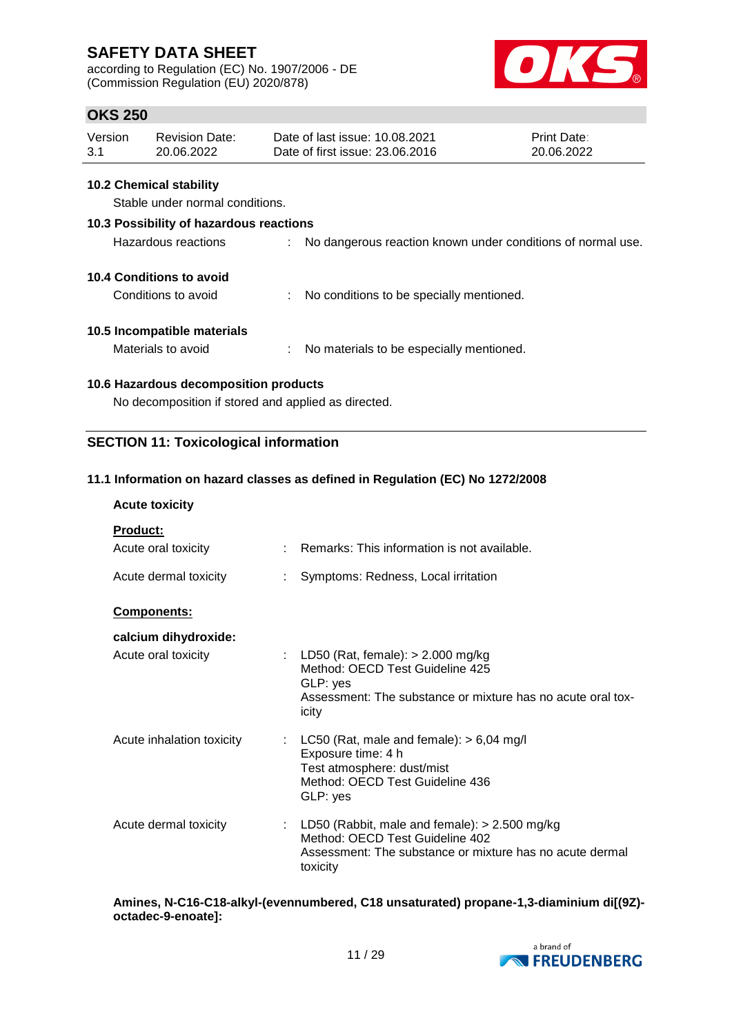according to Regulation (EC) No. 1907/2006 - DE (Commission Regulation (EU) 2020/878)



# **OKS 250**

| Version | Revision Date: | Date of last issue: 10.08.2021  | <b>Print Date:</b> |
|---------|----------------|---------------------------------|--------------------|
| 3.1     | 20.06.2022     | Date of first issue: 23,06,2016 | 20.06.2022         |

#### **10.2 Chemical stability**

Stable under normal conditions.

# **10.3 Possibility of hazardous reactions**

### **10.4 Conditions to avoid**

Conditions to avoid : No conditions to be specially mentioned.

### **10.5 Incompatible materials**

Materials to avoid : No materials to be especially mentioned.

### **10.6 Hazardous decomposition products**

No decomposition if stored and applied as directed.

### **SECTION 11: Toxicological information**

### **11.1 Information on hazard classes as defined in Regulation (EC) No 1272/2008**

### **Acute toxicity**

| <b>Product:</b>           |                                                                                                                                                              |
|---------------------------|--------------------------------------------------------------------------------------------------------------------------------------------------------------|
| Acute oral toxicity       | $\therefore$ Remarks: This information is not available.                                                                                                     |
| Acute dermal toxicity     | Symptoms: Redness, Local irritation                                                                                                                          |
| <b>Components:</b>        |                                                                                                                                                              |
| calcium dihydroxide:      |                                                                                                                                                              |
| Acute oral toxicity       | : LD50 (Rat, female): $>$ 2.000 mg/kg<br>Method: OECD Test Guideline 425<br>GLP: yes<br>Assessment: The substance or mixture has no acute oral tox-<br>icity |
| Acute inhalation toxicity | : LC50 (Rat, male and female): $> 6,04$ mg/l<br>Exposure time: 4 h<br>Test atmosphere: dust/mist<br>Method: OECD Test Guideline 436<br>GLP: yes              |
| Acute dermal toxicity     | : LD50 (Rabbit, male and female): $> 2.500$ mg/kg<br>Method: OECD Test Guideline 402<br>Assessment: The substance or mixture has no acute dermal<br>toxicity |

#### **Amines, N-C16-C18-alkyl-(evennumbered, C18 unsaturated) propane-1,3-diaminium di[(9Z) octadec-9-enoate]:**

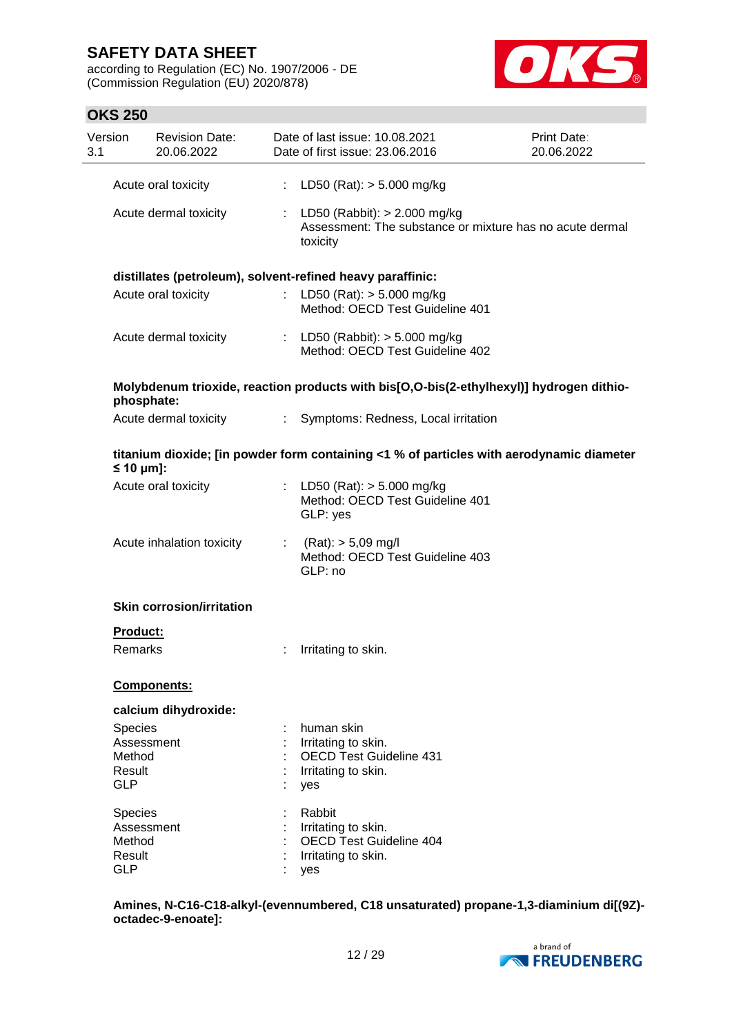according to Regulation (EC) No. 1907/2006 - DE (Commission Regulation (EU) 2020/878)



### **OKS 250**

| Version<br>3.1 |                       | <b>Revision Date:</b><br>20.06.2022 |    | Date of last issue: 10.08.2021<br>Date of first issue: 23.06.2016                                        | <b>Print Date:</b><br>20.06.2022 |
|----------------|-----------------------|-------------------------------------|----|----------------------------------------------------------------------------------------------------------|----------------------------------|
|                |                       | Acute oral toxicity                 | t. | LD50 (Rat): $>$ 5.000 mg/kg                                                                              |                                  |
|                |                       | Acute dermal toxicity               |    | : LD50 (Rabbit): $> 2.000$ mg/kg<br>Assessment: The substance or mixture has no acute dermal<br>toxicity |                                  |
|                |                       |                                     |    | distillates (petroleum), solvent-refined heavy paraffinic:                                               |                                  |
|                |                       | Acute oral toxicity                 |    | : LD50 (Rat): $>$ 5.000 mg/kg<br>Method: OECD Test Guideline 401                                         |                                  |
|                |                       | Acute dermal toxicity               |    | : LD50 (Rabbit): > 5.000 mg/kg<br>Method: OECD Test Guideline 402                                        |                                  |
|                | phosphate:            |                                     |    | Molybdenum trioxide, reaction products with bis[O,O-bis(2-ethylhexyl)] hydrogen dithio-                  |                                  |
|                |                       | Acute dermal toxicity               |    | : Symptoms: Redness, Local irritation                                                                    |                                  |
|                | $\leq 10$ µm]:        |                                     |    | titanium dioxide; [in powder form containing <1 % of particles with aerodynamic diameter                 |                                  |
|                |                       | Acute oral toxicity                 |    | : LD50 (Rat): $>$ 5.000 mg/kg<br>Method: OECD Test Guideline 401<br>GLP: yes                             |                                  |
|                |                       | Acute inhalation toxicity           |    | : $(Rat)$ : $> 5,09$ mg/l<br>Method: OECD Test Guideline 403<br>GLP: no                                  |                                  |
|                |                       | <b>Skin corrosion/irritation</b>    |    |                                                                                                          |                                  |
|                | Product:              |                                     |    |                                                                                                          |                                  |
|                | Remarks               |                                     |    | Irritating to skin.                                                                                      |                                  |
|                |                       | Components:                         |    |                                                                                                          |                                  |
|                |                       | calcium dihydroxide:                |    |                                                                                                          |                                  |
|                | Species<br>Assessment |                                     |    | human skin<br>Irritating to skin.                                                                        |                                  |
|                | Method                |                                     |    | <b>OECD Test Guideline 431</b>                                                                           |                                  |
|                | Result                |                                     |    | Irritating to skin.                                                                                      |                                  |
|                | <b>GLP</b>            |                                     |    | yes                                                                                                      |                                  |
|                | Species               |                                     |    | Rabbit                                                                                                   |                                  |
|                | Assessment            |                                     |    | Irritating to skin.                                                                                      |                                  |
|                | Method<br>Result      |                                     |    | <b>OECD Test Guideline 404</b><br>Irritating to skin.                                                    |                                  |
|                | <b>GLP</b>            |                                     |    | yes                                                                                                      |                                  |
|                |                       |                                     |    |                                                                                                          |                                  |

**Amines, N-C16-C18-alkyl-(evennumbered, C18 unsaturated) propane-1,3-diaminium di[(9Z) octadec-9-enoate]:**

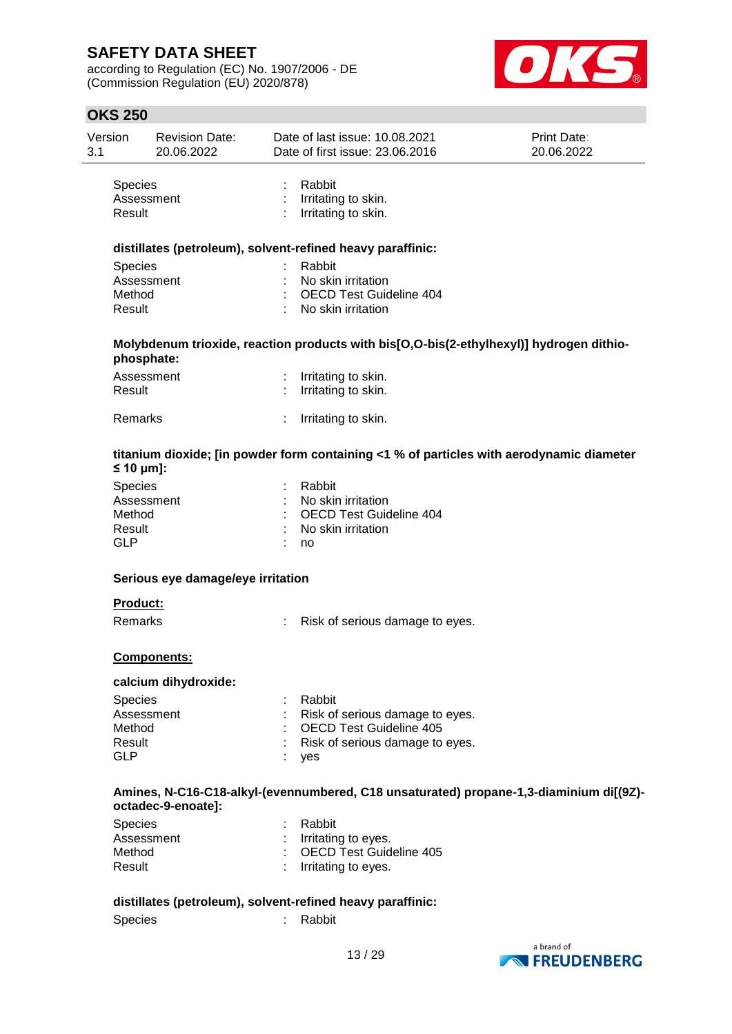according to Regulation (EC) No. 1907/2006 - DE (Commission Regulation (EU) 2020/878)



# **OKS 250**

| <b>OKS 250</b> |                                     |   |                                                                                          |                                  |
|----------------|-------------------------------------|---|------------------------------------------------------------------------------------------|----------------------------------|
| Version        | <b>Revision Date:</b><br>20.06.2022 |   | Date of last issue: 10.08.2021<br>Date of first issue: 23.06.2016                        | <b>Print Date:</b><br>20.06.2022 |
| Species        |                                     |   | Rabbit                                                                                   |                                  |
|                | Assessment                          |   | Irritating to skin.                                                                      |                                  |
| Result         |                                     |   | Irritating to skin.                                                                      |                                  |
|                |                                     |   | distillates (petroleum), solvent-refined heavy paraffinic:                               |                                  |
| Species        |                                     |   | Rabbit                                                                                   |                                  |
|                | Assessment                          |   | No skin irritation                                                                       |                                  |
| Method         |                                     |   | <b>OECD Test Guideline 404</b>                                                           |                                  |
| Result         |                                     |   | No skin irritation                                                                       |                                  |
|                | phosphate:                          |   | Molybdenum trioxide, reaction products with bis[O,O-bis(2-ethylhexyl)] hydrogen dithio-  |                                  |
|                | Assessment                          | ÷ | Irritating to skin.                                                                      |                                  |
| Result         |                                     |   | Irritating to skin.                                                                      |                                  |
|                |                                     |   |                                                                                          |                                  |
| Remarks        |                                     |   | Irritating to skin.                                                                      |                                  |
| $\leq 10$ µm]: |                                     |   | titanium dioxide; [in powder form containing <1 % of particles with aerodynamic diameter |                                  |
| Species        |                                     |   | Rabbit                                                                                   |                                  |
|                | Assessment                          |   | No skin irritation                                                                       |                                  |
| Method         |                                     |   | <b>OECD Test Guideline 404</b>                                                           |                                  |
| Result         |                                     |   | No skin irritation                                                                       |                                  |
| <b>GLP</b>     |                                     |   | no                                                                                       |                                  |
|                | Serious eye damage/eye irritation   |   |                                                                                          |                                  |
| Product:       |                                     |   |                                                                                          |                                  |
| Remarks        |                                     |   | Risk of serious damage to eyes.                                                          |                                  |
|                | Components:                         |   |                                                                                          |                                  |
|                | calcium dihydroxide:                |   |                                                                                          |                                  |
| Species        |                                     |   | Rabbit                                                                                   |                                  |
|                | Assessment                          |   | Risk of serious damage to eyes.                                                          |                                  |
| Method         |                                     |   | <b>OECD Test Guideline 405</b>                                                           |                                  |
| Result         |                                     |   | Risk of serious damage to eyes.                                                          |                                  |
| <b>GLP</b>     |                                     |   | yes                                                                                      |                                  |
|                | octadec-9-enoate]:                  |   | Amines, N-C16-C18-alkyl-(evennumbered, C18 unsaturated) propane-1,3-diaminium di[(9Z)-   |                                  |
| Species        |                                     |   | Rabbit                                                                                   |                                  |
|                | Assessment                          |   | Irritating to eyes.                                                                      |                                  |
| Method         |                                     |   | <b>OECD Test Guideline 405</b>                                                           |                                  |
|                | Result                              |   | Irritating to eyes.                                                                      |                                  |

Species : Rabbit

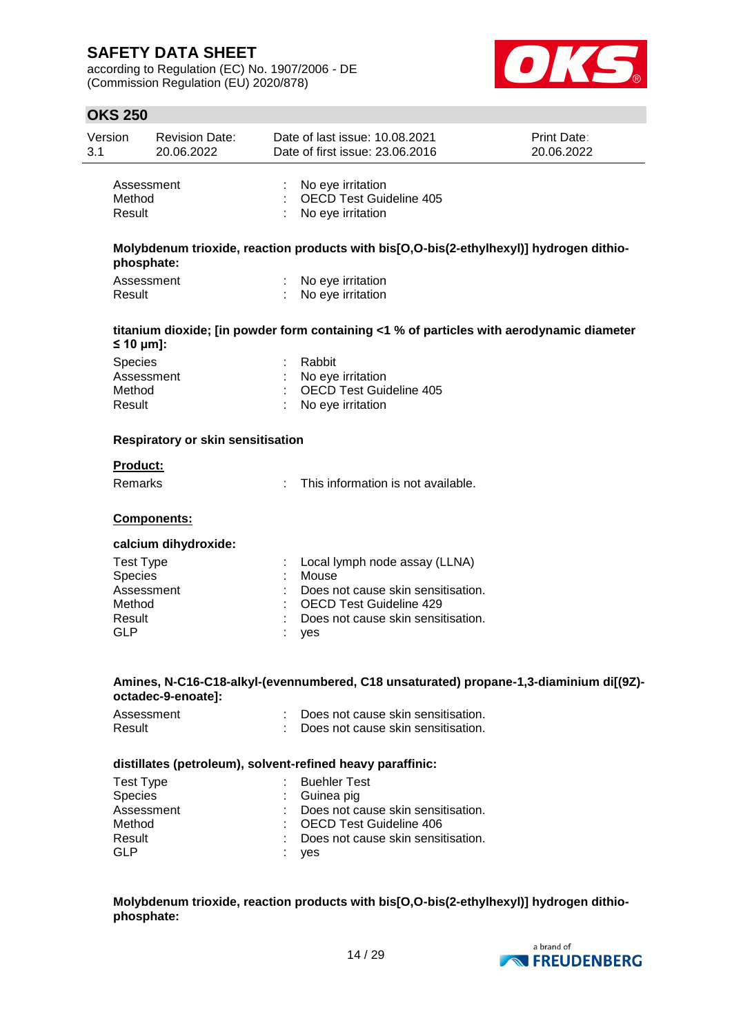according to Regulation (EC) No. 1907/2006 - DE (Commission Regulation (EU) 2020/878)

GLP : yes



| <b>OKS 250</b>     |                                     |   |                                                                                          |                           |
|--------------------|-------------------------------------|---|------------------------------------------------------------------------------------------|---------------------------|
| Version<br>3.1     | <b>Revision Date:</b><br>20.06.2022 |   | Date of last issue: 10.08.2021<br>Date of first issue: 23.06.2016                        | Print Date:<br>20.06.2022 |
|                    | Assessment                          | t | No eye irritation                                                                        |                           |
| Method<br>Result   |                                     |   | <b>OECD Test Guideline 405</b><br>No eye irritation                                      |                           |
|                    | phosphate:                          |   | Molybdenum trioxide, reaction products with bis[O,O-bis(2-ethylhexyl)] hydrogen dithio-  |                           |
| Result             | Assessment                          |   | No eye irritation<br>No eye irritation                                                   |                           |
| $\leq 10 \mu m$ ]: |                                     |   | titanium dioxide; [in powder form containing <1 % of particles with aerodynamic diameter |                           |
| Species            |                                     |   | Rabbit                                                                                   |                           |
|                    | Assessment                          |   | No eye irritation                                                                        |                           |
| Method             |                                     |   | <b>OECD Test Guideline 405</b>                                                           |                           |
| Result             |                                     |   | No eye irritation                                                                        |                           |
|                    | Respiratory or skin sensitisation   |   |                                                                                          |                           |
| <b>Product:</b>    |                                     |   |                                                                                          |                           |
| Remarks            |                                     |   | This information is not available.                                                       |                           |
|                    | Components:                         |   |                                                                                          |                           |
|                    | calcium dihydroxide:                |   |                                                                                          |                           |
| <b>Test Type</b>   |                                     |   | Local lymph node assay (LLNA)                                                            |                           |
| Species            |                                     |   | Mouse                                                                                    |                           |
|                    | Assessment                          |   | Does not cause skin sensitisation.                                                       |                           |
| Method<br>Result   |                                     |   | <b>OECD Test Guideline 429</b><br>Does not cause skin sensitisation.                     |                           |
| <b>GLP</b>         |                                     |   | yes                                                                                      |                           |
|                    |                                     |   | Amines, N-C16-C18-alkyl-(evennumbered, C18 unsaturated) propane-1,3-diaminium di[(9Z)-   |                           |
|                    | octadec-9-enoate]:                  |   |                                                                                          |                           |
| Result             | Assessment                          |   | Does not cause skin sensitisation.<br>Does not cause skin sensitisation.                 |                           |
|                    |                                     |   | distillates (petroleum), solvent-refined heavy paraffinic:                               |                           |
| <b>Test Type</b>   |                                     |   | <b>Buehler Test</b>                                                                      |                           |
| Species            |                                     |   | Guinea pig                                                                               |                           |
|                    | Assessment                          |   | Does not cause skin sensitisation.                                                       |                           |
| Method             |                                     |   | <b>OECD Test Guideline 406</b>                                                           |                           |
| Result             |                                     |   | Does not cause skin sensitisation.                                                       |                           |

**Molybdenum trioxide, reaction products with bis[O,O-bis(2-ethylhexyl)] hydrogen dithiophosphate:**

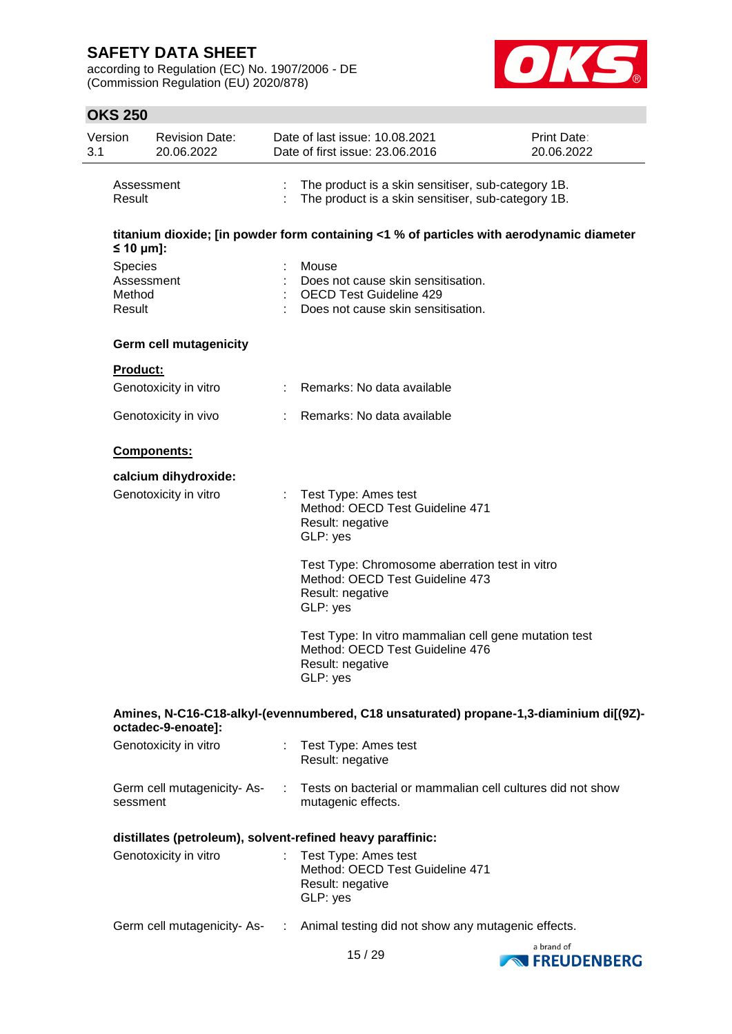according to Regulation (EC) No. 1907/2006 - DE (Commission Regulation (EU) 2020/878)



# **OKS 250**

| Version<br>3.1                                        | <b>Revision Date:</b><br>20.06.2022 | Date of last issue: 10.08.2021<br>Date of first issue: 23.06.2016                                                        | <b>Print Date:</b><br>20.06.2022 |
|-------------------------------------------------------|-------------------------------------|--------------------------------------------------------------------------------------------------------------------------|----------------------------------|
| Result                                                | Assessment                          | The product is a skin sensitiser, sub-category 1B.<br>The product is a skin sensitiser, sub-category 1B.                 |                                  |
|                                                       |                                     | titanium dioxide; [in powder form containing <1 % of particles with aerodynamic diameter                                 |                                  |
| $\leq 10 \text{ µm}$ :<br>Species<br>Method<br>Result | Assessment                          | Mouse<br>Does not cause skin sensitisation.<br><b>OECD Test Guideline 429</b><br>Does not cause skin sensitisation.      |                                  |
|                                                       | <b>Germ cell mutagenicity</b>       |                                                                                                                          |                                  |
| <b>Product:</b>                                       | Genotoxicity in vitro               | : Remarks: No data available                                                                                             |                                  |
|                                                       | Genotoxicity in vivo                | Remarks: No data available                                                                                               |                                  |
|                                                       | Components:                         |                                                                                                                          |                                  |
|                                                       | calcium dihydroxide:                |                                                                                                                          |                                  |
|                                                       | Genotoxicity in vitro               | Test Type: Ames test<br>Method: OECD Test Guideline 471<br>Result: negative<br>GLP: yes                                  |                                  |
|                                                       |                                     | Test Type: Chromosome aberration test in vitro<br>Method: OECD Test Guideline 473<br>Result: negative<br>GLP: yes        |                                  |
|                                                       |                                     | Test Type: In vitro mammalian cell gene mutation test<br>Method: OECD Test Guideline 476<br>Result: negative<br>GLP: yes |                                  |
|                                                       | octadec-9-enoate]:                  | Amines, N-C16-C18-alkyl-(evennumbered, C18 unsaturated) propane-1,3-diaminium di[(9Z)-                                   |                                  |
|                                                       | Genotoxicity in vitro               | : Test Type: Ames test<br>Result: negative                                                                               |                                  |
| sessment                                              | Germ cell mutagenicity-As-          | : Tests on bacterial or mammalian cell cultures did not show<br>mutagenic effects.                                       |                                  |
|                                                       |                                     | distillates (petroleum), solvent-refined heavy paraffinic:                                                               |                                  |
|                                                       | Genotoxicity in vitro               | : Test Type: Ames test<br>Method: OECD Test Guideline 471<br>Result: negative<br>GLP: yes                                |                                  |
|                                                       |                                     | Germ cell mutagenicity-As- : Animal testing did not show any mutagenic effects.                                          |                                  |
|                                                       |                                     |                                                                                                                          | a brand of                       |



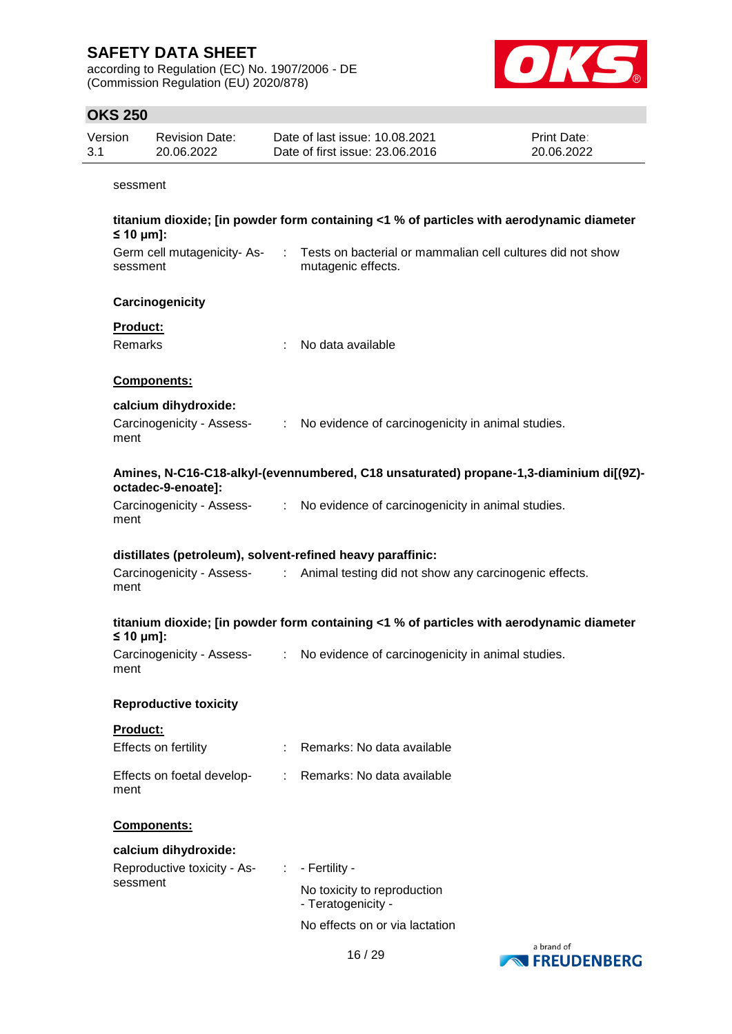according to Regulation (EC) No. 1907/2006 - DE (Commission Regulation (EU) 2020/878)



# **OKS 250**

|                | <b>OKS 250</b>             |                                                   |    |                                                                                          |                           |
|----------------|----------------------------|---------------------------------------------------|----|------------------------------------------------------------------------------------------|---------------------------|
| Version<br>3.1 |                            | <b>Revision Date:</b><br>20.06.2022               |    | Date of last issue: 10.08.2021<br>Date of first issue: 23.06.2016                        | Print Date:<br>20.06.2022 |
|                | sessment                   |                                                   |    |                                                                                          |                           |
|                | $\leq 10 \mu m$ ]:         |                                                   |    | titanium dioxide; [in powder form containing <1 % of particles with aerodynamic diameter |                           |
|                | sessment                   | Germ cell mutagenicity-As-                        | ÷  | Tests on bacterial or mammalian cell cultures did not show<br>mutagenic effects.         |                           |
|                |                            | Carcinogenicity                                   |    |                                                                                          |                           |
|                | <b>Product:</b><br>Remarks |                                                   |    | No data available                                                                        |                           |
|                |                            | <b>Components:</b>                                |    |                                                                                          |                           |
|                | ment                       | calcium dihydroxide:<br>Carcinogenicity - Assess- | ÷. | No evidence of carcinogenicity in animal studies.                                        |                           |
|                |                            | octadec-9-enoate]:                                |    | Amines, N-C16-C18-alkyl-(evennumbered, C18 unsaturated) propane-1,3-diaminium di[(9Z)-   |                           |
|                | ment                       | Carcinogenicity - Assess-                         |    | : No evidence of carcinogenicity in animal studies.                                      |                           |
|                |                            |                                                   |    | distillates (petroleum), solvent-refined heavy paraffinic:                               |                           |
|                | ment                       | Carcinogenicity - Assess-                         | ÷. | Animal testing did not show any carcinogenic effects.                                    |                           |
|                | $\leq 10$ µm]:             |                                                   |    | titanium dioxide; [in powder form containing <1 % of particles with aerodynamic diameter |                           |
|                | ment                       | Carcinogenicity - Assess-                         |    | No evidence of carcinogenicity in animal studies.                                        |                           |
|                |                            | <b>Reproductive toxicity</b>                      |    |                                                                                          |                           |
|                | Product:                   |                                                   |    |                                                                                          |                           |
|                |                            | Effects on fertility                              |    | Remarks: No data available                                                               |                           |
|                | ment                       | Effects on foetal develop-                        | ÷. | Remarks: No data available                                                               |                           |
|                |                            | Components:                                       |    |                                                                                          |                           |
|                |                            | calcium dihydroxide:                              |    |                                                                                          |                           |
|                |                            | Reproductive toxicity - As-                       |    | - Fertility -                                                                            |                           |
|                | sessment                   |                                                   |    | No toxicity to reproduction<br>- Teratogenicity -                                        |                           |

No effects on or via lactation

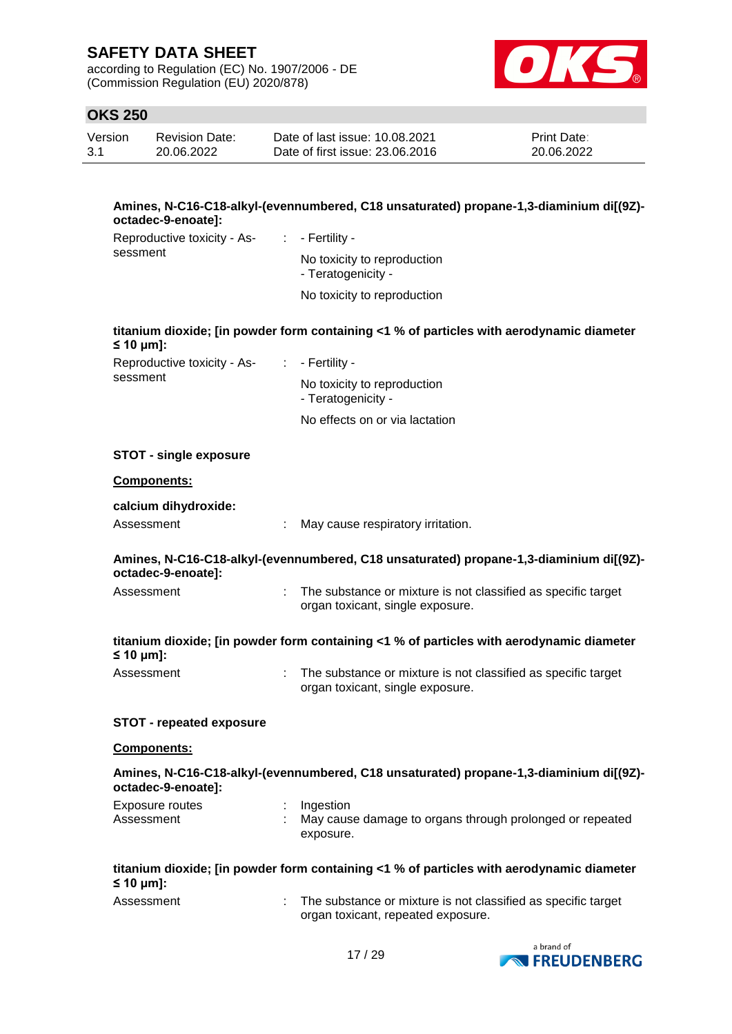according to Regulation (EC) No. 1907/2006 - DE (Commission Regulation (EU) 2020/878)



# **OKS 250**

| Version | Revision Date: | Date of last issue: 10.08.2021  | <b>Print Date:</b> |
|---------|----------------|---------------------------------|--------------------|
| 3.1     | 20.06.2022     | Date of first issue: 23,06,2016 | 20.06.2022         |

#### **Amines, N-C16-C18-alkyl-(evennumbered, C18 unsaturated) propane-1,3-diaminium di[(9Z) octadec-9-enoate]:**

| Reproductive toxicity - As-<br>sessment | $\therefore$ - Fertility -                        |
|-----------------------------------------|---------------------------------------------------|
|                                         | No toxicity to reproduction<br>- Teratogenicity - |
|                                         | No toxicity to reproduction                       |

#### **titanium dioxide; [in powder form containing <1 % of particles with aerodynamic diameter ≤ 10 μm]:**

| Reproductive toxicity - As- | $\therefore$ - Fertility -                        |
|-----------------------------|---------------------------------------------------|
| sessment                    | No toxicity to reproduction<br>- Teratogenicity - |
|                             | No effects on or via lactation                    |

#### **STOT - single exposure**

#### **Components:**

#### **calcium dihydroxide:**

| Assessment |  | May cause respiratory irritation. |  |
|------------|--|-----------------------------------|--|
|------------|--|-----------------------------------|--|

#### **Amines, N-C16-C18-alkyl-(evennumbered, C18 unsaturated) propane-1,3-diaminium di[(9Z) octadec-9-enoate]:**

| Assessment | The substance or mixture is not classified as specific target |
|------------|---------------------------------------------------------------|
|            | organ toxicant, single exposure.                              |

### **titanium dioxide; [in powder form containing <1 % of particles with aerodynamic diameter ≤ 10 μm]:**

| Assessment | The substance or mixture is not classified as specific target |
|------------|---------------------------------------------------------------|
|            | organ toxicant, single exposure.                              |

#### **STOT - repeated exposure**

#### **Components:**

### **Amines, N-C16-C18-alkyl-(evennumbered, C18 unsaturated) propane-1,3-diaminium di[(9Z) octadec-9-enoate]:**

| Exposure routes | : Ingestion                                              |
|-----------------|----------------------------------------------------------|
| Assessment      | May cause damage to organs through prolonged or repeated |
|                 | exposure.                                                |

### **titanium dioxide; [in powder form containing <1 % of particles with aerodynamic diameter ≤ 10 μm]:**

| Assessment | The substance or mixture is not classified as specific target |
|------------|---------------------------------------------------------------|
|            | organ toxicant, repeated exposure.                            |

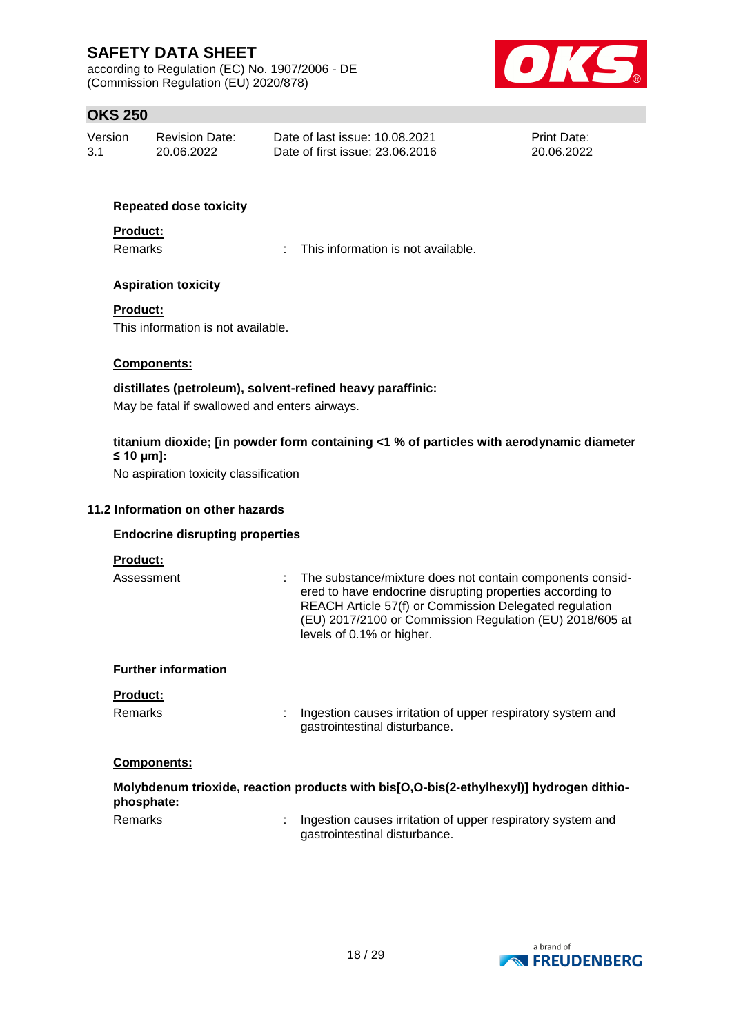according to Regulation (EC) No. 1907/2006 - DE (Commission Regulation (EU) 2020/878)



# **OKS 250**

| Version | <b>Revision Date:</b> | Date of last issue: 10.08.2021  | <b>Print Date:</b> |
|---------|-----------------------|---------------------------------|--------------------|
| 3.1     | 20.06.2022            | Date of first issue: 23,06,2016 | 20.06.2022         |

#### **Repeated dose toxicity**

#### **Product:**

Remarks : This information is not available.

#### **Aspiration toxicity**

#### **Product:**

This information is not available.

#### **Components:**

### **distillates (petroleum), solvent-refined heavy paraffinic:** May be fatal if swallowed and enters airways.

### **titanium dioxide; [in powder form containing <1 % of particles with aerodynamic diameter ≤ 10 μm]:**

No aspiration toxicity classification

#### **11.2 Information on other hazards**

#### **Endocrine disrupting properties**

#### **Product:**

Assessment : The substance/mixture does not contain components considered to have endocrine disrupting properties according to REACH Article 57(f) or Commission Delegated regulation (EU) 2017/2100 or Commission Regulation (EU) 2018/605 at levels of 0.1% or higher.

#### **Further information**

#### **Product:**

Remarks : Ingestion causes irritation of upper respiratory system and gastrointestinal disturbance.

### **Components:**

| phosphate: | Molybdenum trioxide, reaction products with bis[O,O-bis(2-ethylhexyl)] hydrogen dithio-      |
|------------|----------------------------------------------------------------------------------------------|
| Remarks    | Ingestion causes irritation of upper respiratory system and<br>gastrointestinal disturbance. |

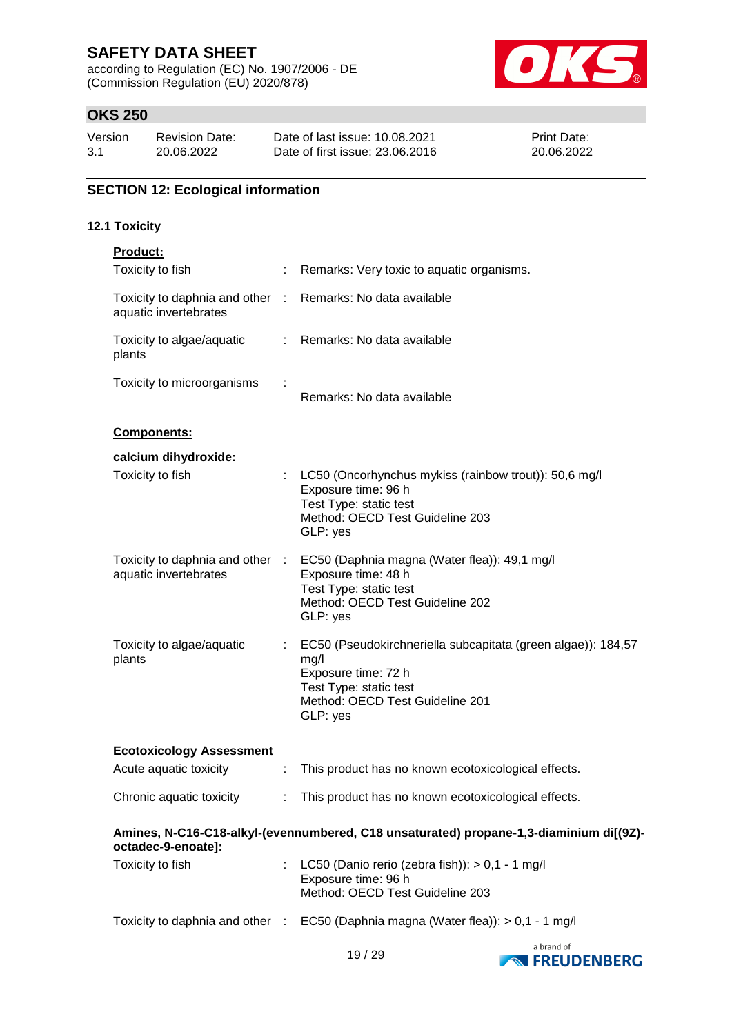according to Regulation (EC) No. 1907/2006 - DE (Commission Regulation (EU) 2020/878)



# **OKS 250**

| Version | <b>Revision Date:</b> | Date of last issue: 10.08.2021  | Print Date: |
|---------|-----------------------|---------------------------------|-------------|
| 3.1     | 20.06.2022            | Date of first issue: 23,06,2016 | 20.06.2022  |

# **SECTION 12: Ecological information**

### **12.1 Toxicity**

| <b>Product:</b>                                        |            |                                                                                                                                                                              |
|--------------------------------------------------------|------------|------------------------------------------------------------------------------------------------------------------------------------------------------------------------------|
| Toxicity to fish                                       | ÷          | Remarks: Very toxic to aquatic organisms.                                                                                                                                    |
| Toxicity to daphnia and other<br>aquatic invertebrates | $\sim 100$ | Remarks: No data available                                                                                                                                                   |
| Toxicity to algae/aquatic<br>plants                    |            | : Remarks: No data available                                                                                                                                                 |
| Toxicity to microorganisms                             |            | Remarks: No data available                                                                                                                                                   |
| Components:                                            |            |                                                                                                                                                                              |
| calcium dihydroxide:                                   |            |                                                                                                                                                                              |
| Toxicity to fish                                       |            | LC50 (Oncorhynchus mykiss (rainbow trout)): 50,6 mg/l<br>Exposure time: 96 h<br>Test Type: static test<br>Method: OECD Test Guideline 203<br>GLP: yes                        |
| aquatic invertebrates                                  |            | Toxicity to daphnia and other : EC50 (Daphnia magna (Water flea)): 49,1 mg/l<br>Exposure time: 48 h<br>Test Type: static test<br>Method: OECD Test Guideline 202<br>GLP: yes |
| Toxicity to algae/aquatic<br>plants                    |            | : EC50 (Pseudokirchneriella subcapitata (green algae)): 184,57<br>mg/l<br>Exposure time: 72 h<br>Test Type: static test<br>Method: OECD Test Guideline 201<br>GLP: yes       |
| <b>Ecotoxicology Assessment</b>                        |            |                                                                                                                                                                              |
| Acute aquatic toxicity                                 | t.         | This product has no known ecotoxicological effects.                                                                                                                          |
|                                                        |            | Chronic aquatic toxicity : This product has no known ecotoxicological effects.                                                                                               |
| octadec-9-enoate]:                                     |            | Amines, N-C16-C18-alkyl-(evennumbered, C18 unsaturated) propane-1,3-diaminium di[(9Z)-                                                                                       |
| Toxicity to fish                                       |            | LC50 (Danio rerio (zebra fish)): $> 0,1 - 1$ mg/l<br>Exposure time: 96 h<br>Method: OECD Test Guideline 203                                                                  |
|                                                        |            | Toxicity to daphnia and other : EC50 (Daphnia magna (Water flea)): > 0,1 - 1 mg/l                                                                                            |
|                                                        |            |                                                                                                                                                                              |

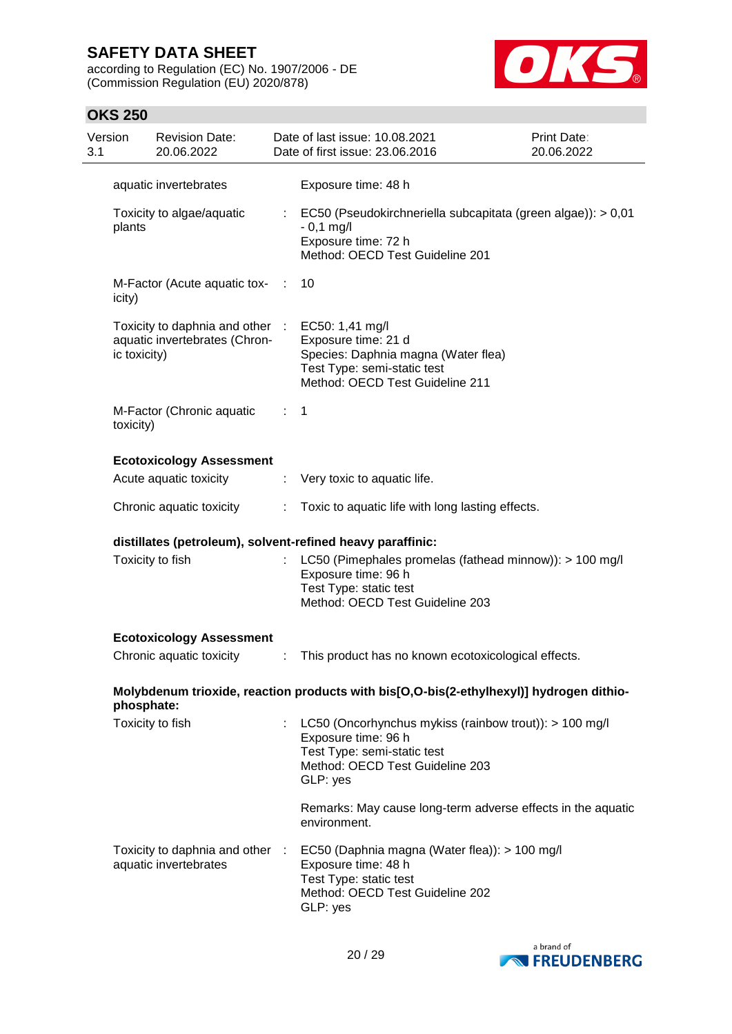according to Regulation (EC) No. 1907/2006 - DE (Commission Regulation (EU) 2020/878)



# **OKS 250**

| Version<br>3.1 |              | <b>Revision Date:</b><br>20.06.2022                              |      | Date of last issue: 10.08.2021<br>Date of first issue: 23,06,2016                                                                                           | Print Date:<br>20.06.2022 |
|----------------|--------------|------------------------------------------------------------------|------|-------------------------------------------------------------------------------------------------------------------------------------------------------------|---------------------------|
|                |              | aquatic invertebrates                                            |      | Exposure time: 48 h                                                                                                                                         |                           |
|                | plants       | Toxicity to algae/aquatic                                        |      | $\therefore$ EC50 (Pseudokirchneriella subcapitata (green algae)): > 0,01<br>$-0,1$ mg/l<br>Exposure time: 72 h<br>Method: OECD Test Guideline 201          |                           |
|                | icity)       | M-Factor (Acute aquatic tox-                                     | - 11 | 10                                                                                                                                                          |                           |
|                | ic toxicity) | Toxicity to daphnia and other :<br>aquatic invertebrates (Chron- |      | EC50: 1,41 mg/l<br>Exposure time: 21 d<br>Species: Daphnia magna (Water flea)<br>Test Type: semi-static test<br>Method: OECD Test Guideline 211             |                           |
|                | toxicity)    | M-Factor (Chronic aquatic                                        | ÷    | 1                                                                                                                                                           |                           |
|                |              | <b>Ecotoxicology Assessment</b>                                  |      |                                                                                                                                                             |                           |
|                |              | Acute aquatic toxicity                                           |      | : Very toxic to aquatic life.                                                                                                                               |                           |
|                |              | Chronic aquatic toxicity                                         | ÷    | Toxic to aquatic life with long lasting effects.                                                                                                            |                           |
|                |              |                                                                  |      | distillates (petroleum), solvent-refined heavy paraffinic:                                                                                                  |                           |
|                |              | Toxicity to fish                                                 |      | LC50 (Pimephales promelas (fathead minnow)): > 100 mg/l<br>Exposure time: 96 h<br>Test Type: static test<br>Method: OECD Test Guideline 203                 |                           |
|                |              | <b>Ecotoxicology Assessment</b>                                  |      |                                                                                                                                                             |                           |
|                |              | Chronic aquatic toxicity                                         | ÷    | This product has no known ecotoxicological effects.                                                                                                         |                           |
|                | phosphate:   |                                                                  |      | Molybdenum trioxide, reaction products with bis[O,O-bis(2-ethylhexyl)] hydrogen dithio-                                                                     |                           |
|                |              | Toxicity to fish                                                 |      | LC50 (Oncorhynchus mykiss (rainbow trout)): > 100 mg/l<br>Exposure time: 96 h<br>Test Type: semi-static test<br>Method: OECD Test Guideline 203<br>GLP: yes |                           |
|                |              |                                                                  |      | Remarks: May cause long-term adverse effects in the aquatic<br>environment.                                                                                 |                           |
|                |              | Toxicity to daphnia and other :<br>aquatic invertebrates         |      | EC50 (Daphnia magna (Water flea)): > 100 mg/l<br>Exposure time: 48 h<br>Test Type: static test<br>Method: OECD Test Guideline 202<br>GLP: yes               |                           |

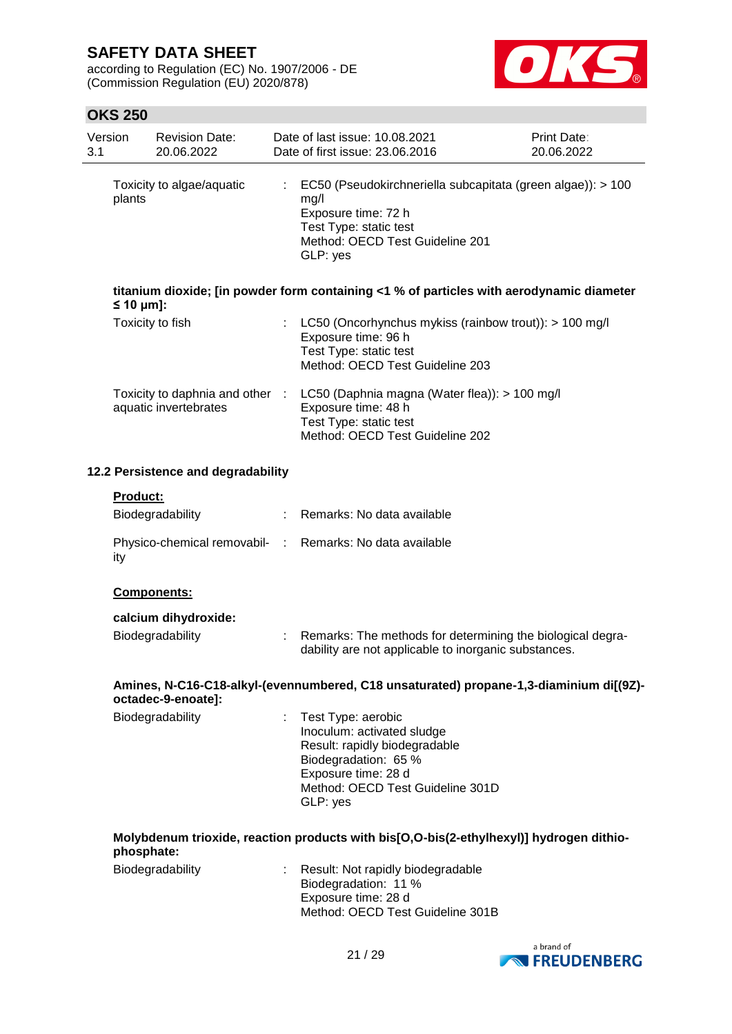according to Regulation (EC) No. 1907/2006 - DE (Commission Regulation (EU) 2020/878)



# **OKS 250**

| 3.1 | Version                | <b>Revision Date:</b><br>20.06.2022 |    | Date of last issue: 10.08.2021<br>Date of first issue: 23.06.2016                                                                                                                | <b>Print Date:</b><br>20.06.2022 |
|-----|------------------------|-------------------------------------|----|----------------------------------------------------------------------------------------------------------------------------------------------------------------------------------|----------------------------------|
|     | plants                 | Toxicity to algae/aquatic           | ÷  | EC50 (Pseudokirchneriella subcapitata (green algae)): > 100<br>mg/l<br>Exposure time: 72 h<br>Test Type: static test<br>Method: OECD Test Guideline 201<br>GLP: yes              |                                  |
|     | $\leq 10 \text{ µm}$ : |                                     |    | titanium dioxide; [in powder form containing <1 % of particles with aerodynamic diameter                                                                                         |                                  |
|     |                        | Toxicity to fish                    | ÷  | LC50 (Oncorhynchus mykiss (rainbow trout)): > 100 mg/l<br>Exposure time: 96 h<br>Test Type: static test<br>Method: OECD Test Guideline 203                                       |                                  |
|     |                        | aquatic invertebrates               |    | Toxicity to daphnia and other : LC50 (Daphnia magna (Water flea)): > 100 mg/l<br>Exposure time: 48 h<br>Test Type: static test<br>Method: OECD Test Guideline 202                |                                  |
|     |                        | 12.2 Persistence and degradability  |    |                                                                                                                                                                                  |                                  |
|     | Product:               |                                     |    |                                                                                                                                                                                  |                                  |
|     |                        | Biodegradability                    | ÷. | Remarks: No data available                                                                                                                                                       |                                  |
|     | ity                    |                                     |    | Physico-chemical removabil- : Remarks: No data available                                                                                                                         |                                  |
|     |                        | Components:                         |    |                                                                                                                                                                                  |                                  |
|     |                        | calcium dihydroxide:                |    |                                                                                                                                                                                  |                                  |
|     |                        | Biodegradability                    | ÷  | Remarks: The methods for determining the biological degra-<br>dability are not applicable to inorganic substances.                                                               |                                  |
|     | octadec-9-enoate]:     |                                     |    | Amines, N-C16-C18-alkyl-(evennumbered, C18 unsaturated) propane-1,3-diaminium di[(9Z)-                                                                                           |                                  |
|     |                        | Biodegradability                    | ÷  | Test Type: aerobic<br>Inoculum: activated sludge<br>Result: rapidly biodegradable<br>Biodegradation: 65 %<br>Exposure time: 28 d<br>Method: OECD Test Guideline 301D<br>GLP: yes |                                  |
|     | phosphate:             |                                     |    | Molybdenum trioxide, reaction products with bis[O,O-bis(2-ethylhexyl)] hydrogen dithio-                                                                                          |                                  |
|     |                        | Biodegradability                    |    | Result: Not rapidly biodegradable<br>Biodegradation: 11 %<br>Exposure time: 28 d<br>Method: OECD Test Guideline 301B                                                             |                                  |

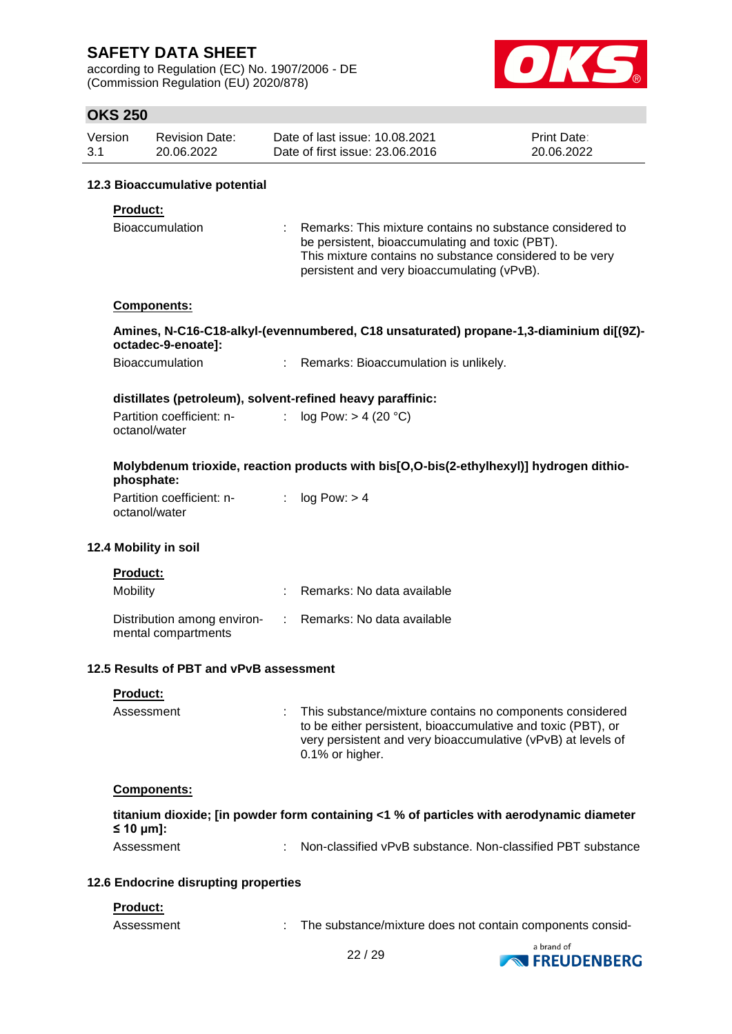according to Regulation (EC) No. 1907/2006 - DE (Commission Regulation (EU) 2020/878)



# **OKS 250**

| Version | Revision Date: | Date of last issue: 10.08.2021  | <b>Print Date:</b> |
|---------|----------------|---------------------------------|--------------------|
| 3.1     | 20.06.2022     | Date of first issue: 23,06,2016 | 20.06.2022         |

#### **12.3 Bioaccumulative potential**

#### **Product:**

| <b>Bioaccumulation</b> | Remarks: This mixture contains no substance considered to |  |
|------------------------|-----------------------------------------------------------|--|
|                        | be persistent, bioaccumulating and toxic (PBT).           |  |
|                        | This mixture contains no substance considered to be very  |  |
|                        | persistent and very bioaccumulating (vPvB).               |  |

#### **Components:**

#### **Amines, N-C16-C18-alkyl-(evennumbered, C18 unsaturated) propane-1,3-diaminium di[(9Z) octadec-9-enoate]:**

| Bioaccumulation | Remarks: Bioaccumulation is unlikely. |
|-----------------|---------------------------------------|
|-----------------|---------------------------------------|

#### **distillates (petroleum), solvent-refined heavy paraffinic:**

| Partition coefficient: n- | log Pow: > 4 (20 °C) |
|---------------------------|----------------------|
| octanol/water             |                      |

### **Molybdenum trioxide, reaction products with bis[O,O-bis(2-ethylhexyl)] hydrogen dithiophosphate:**

| Partition coefficient: n- | log Pow: > 4 |
|---------------------------|--------------|
| octanol/water             |              |

#### **12.4 Mobility in soil**

| <b>Product:</b>                                    |                              |
|----------------------------------------------------|------------------------------|
| Mobility                                           | : Remarks: No data available |
| Distribution among environ-<br>mental compartments | : Remarks: No data available |

#### **12.5 Results of PBT and vPvB assessment**

| <b>Product:</b> |                                                                                                                                                                                                                  |
|-----------------|------------------------------------------------------------------------------------------------------------------------------------------------------------------------------------------------------------------|
| Assessment      | : This substance/mixture contains no components considered<br>to be either persistent, bioaccumulative and toxic (PBT), or<br>very persistent and very bioaccumulative (vPvB) at levels of<br>$0.1\%$ or higher. |

#### **Components:**

|                                 | titanium dioxide; [in powder form containing <1 % of particles with aerodynamic diameter |
|---------------------------------|------------------------------------------------------------------------------------------|
| $\leq 10 \text{ }\mu\text{m}$ : |                                                                                          |
| Assessment                      | Non-classified vPvB substance. Non-classified PBT substance                              |

#### **12.6 Endocrine disrupting properties**

#### **Product:**

Assessment : The substance/mixture does not contain components consid-

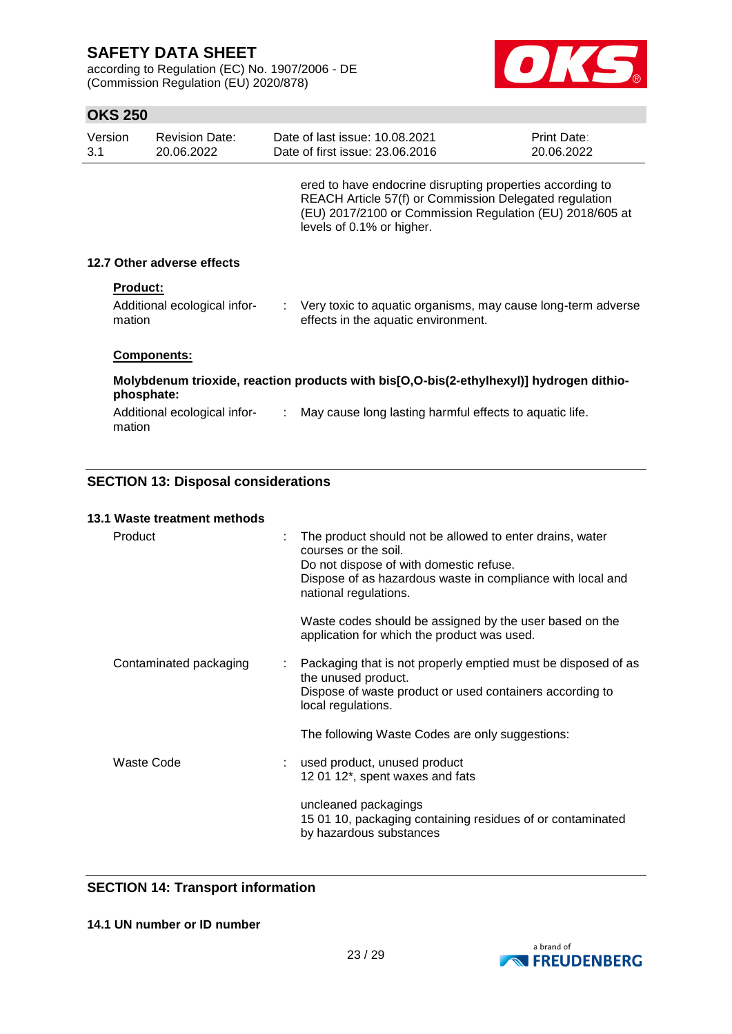according to Regulation (EC) No. 1907/2006 - DE (Commission Regulation (EU) 2020/878)



# **OKS 250**

| Version<br>3.1 |                           | <b>Revision Date:</b><br>20.06.2022 | Date of last issue: 10.08.2021<br>Date of first issue: 23.06.2016                                                                                                                                            | Print Date:<br>20.06.2022 |
|----------------|---------------------------|-------------------------------------|--------------------------------------------------------------------------------------------------------------------------------------------------------------------------------------------------------------|---------------------------|
|                |                           |                                     | ered to have endocrine disrupting properties according to<br>REACH Article 57(f) or Commission Delegated regulation<br>(EU) 2017/2100 or Commission Regulation (EU) 2018/605 at<br>levels of 0.1% or higher. |                           |
|                |                           | 12.7 Other adverse effects          |                                                                                                                                                                                                              |                           |
|                | <b>Product:</b><br>mation | Additional ecological infor-        | : Very toxic to aquatic organisms, may cause long-term adverse<br>effects in the aquatic environment.                                                                                                        |                           |
|                |                           | <b>Components:</b>                  |                                                                                                                                                                                                              |                           |
|                | phosphate:                |                                     | Molybdenum trioxide, reaction products with bis[O,O-bis(2-ethylhexyl)] hydrogen dithio-                                                                                                                      |                           |
|                | mation                    | Additional ecological infor-        | May cause long lasting harmful effects to aquatic life.                                                                                                                                                      |                           |

# **SECTION 13: Disposal considerations**

| 13.1 Waste treatment methods |                                                                                                                                                                                                                    |
|------------------------------|--------------------------------------------------------------------------------------------------------------------------------------------------------------------------------------------------------------------|
| Product                      | The product should not be allowed to enter drains, water<br>courses or the soil.<br>Do not dispose of with domestic refuse.<br>Dispose of as hazardous waste in compliance with local and<br>national regulations. |
|                              | Waste codes should be assigned by the user based on the<br>application for which the product was used.                                                                                                             |
| Contaminated packaging       | Packaging that is not properly emptied must be disposed of as<br>the unused product.<br>Dispose of waste product or used containers according to<br>local regulations.                                             |
|                              | The following Waste Codes are only suggestions:                                                                                                                                                                    |
| Waste Code                   | used product, unused product<br>12 01 12*, spent waxes and fats                                                                                                                                                    |
|                              | uncleaned packagings<br>15 01 10, packaging containing residues of or contaminated<br>by hazardous substances                                                                                                      |

### **SECTION 14: Transport information**

**14.1 UN number or ID number**

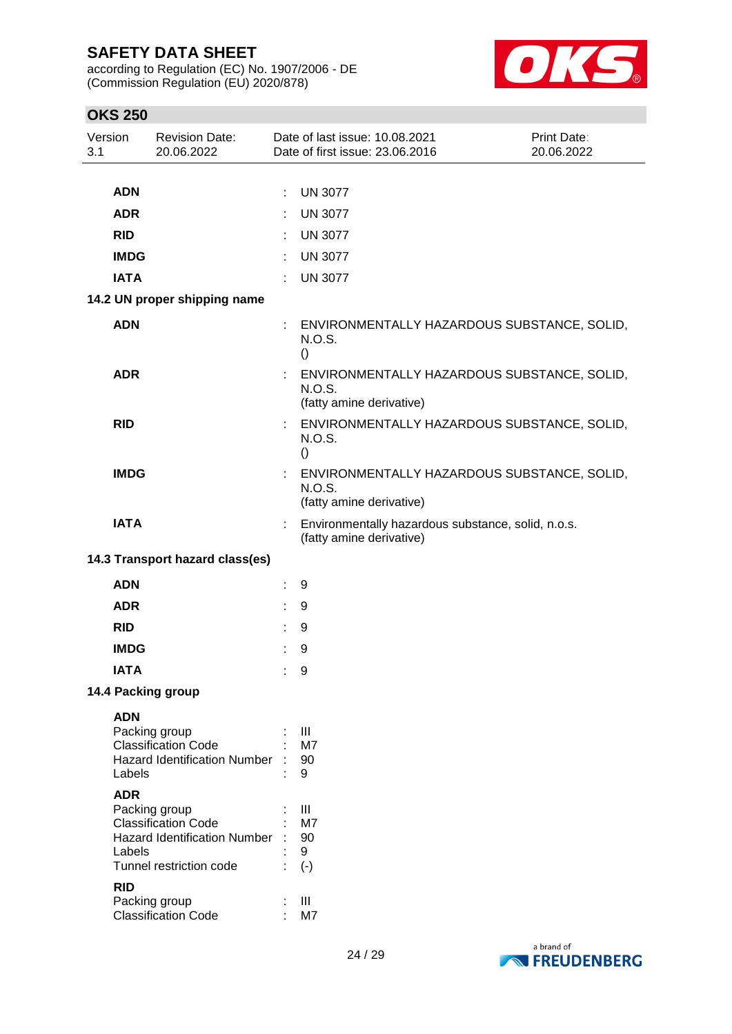according to Regulation (EC) No. 1907/2006 - DE (Commission Regulation (EU) 2020/878)



# **OKS 250**

| Version<br>3.1 |             | <b>Revision Date:</b><br>20.06.2022                               |   | Date of last issue: 10.08.2021<br>Date of first issue: 23.06.2016                 | Print Date:<br>20.06.2022 |
|----------------|-------------|-------------------------------------------------------------------|---|-----------------------------------------------------------------------------------|---------------------------|
|                |             |                                                                   |   |                                                                                   |                           |
|                | <b>ADN</b>  |                                                                   | ÷ | <b>UN 3077</b>                                                                    |                           |
|                | <b>ADR</b>  |                                                                   |   | <b>UN 3077</b>                                                                    |                           |
|                | <b>RID</b>  |                                                                   |   | <b>UN 3077</b>                                                                    |                           |
|                | <b>IMDG</b> |                                                                   |   | <b>UN 3077</b>                                                                    |                           |
|                | <b>IATA</b> |                                                                   | ÷ | <b>UN 3077</b>                                                                    |                           |
|                |             | 14.2 UN proper shipping name                                      |   |                                                                                   |                           |
|                | <b>ADN</b>  |                                                                   |   | ENVIRONMENTALLY HAZARDOUS SUBSTANCE, SOLID,<br>N.O.S.<br>$\left( \right)$         |                           |
|                | <b>ADR</b>  |                                                                   |   | ENVIRONMENTALLY HAZARDOUS SUBSTANCE, SOLID,<br>N.O.S.<br>(fatty amine derivative) |                           |
|                | <b>RID</b>  |                                                                   |   | ENVIRONMENTALLY HAZARDOUS SUBSTANCE, SOLID,<br>N.O.S.<br>$\left( \right)$         |                           |
|                | <b>IMDG</b> |                                                                   |   | ENVIRONMENTALLY HAZARDOUS SUBSTANCE, SOLID,<br>N.O.S.<br>(fatty amine derivative) |                           |
|                | <b>IATA</b> |                                                                   |   | Environmentally hazardous substance, solid, n.o.s.<br>(fatty amine derivative)    |                           |
|                |             | 14.3 Transport hazard class(es)                                   |   |                                                                                   |                           |
|                | <b>ADN</b>  |                                                                   |   | 9                                                                                 |                           |
|                | <b>ADR</b>  |                                                                   |   | 9                                                                                 |                           |
|                | <b>RID</b>  |                                                                   |   | 9                                                                                 |                           |
|                | <b>IMDG</b> |                                                                   |   | 9                                                                                 |                           |
|                | <b>IATA</b> |                                                                   | ÷ | 9                                                                                 |                           |
|                |             | 14.4 Packing group                                                |   |                                                                                   |                           |
|                | <b>ADN</b>  |                                                                   |   |                                                                                   |                           |
|                |             | Packing group                                                     |   | $\mathop{\mathrm{III}}\nolimits$                                                  |                           |
|                |             | <b>Classification Code</b><br><b>Hazard Identification Number</b> |   | M7<br>90                                                                          |                           |
|                | Labels      |                                                                   |   | 9                                                                                 |                           |
|                | <b>ADR</b>  |                                                                   |   |                                                                                   |                           |
|                |             | Packing group                                                     |   | Ш                                                                                 |                           |
|                |             | <b>Classification Code</b><br><b>Hazard Identification Number</b> |   | M7<br>90                                                                          |                           |
|                | Labels      |                                                                   |   | 9                                                                                 |                           |
|                |             | Tunnel restriction code                                           |   | $(\cdot)$                                                                         |                           |
|                | <b>RID</b>  |                                                                   |   |                                                                                   |                           |
|                |             | Packing group                                                     |   | Ш                                                                                 |                           |
|                |             | <b>Classification Code</b>                                        |   | M7                                                                                |                           |

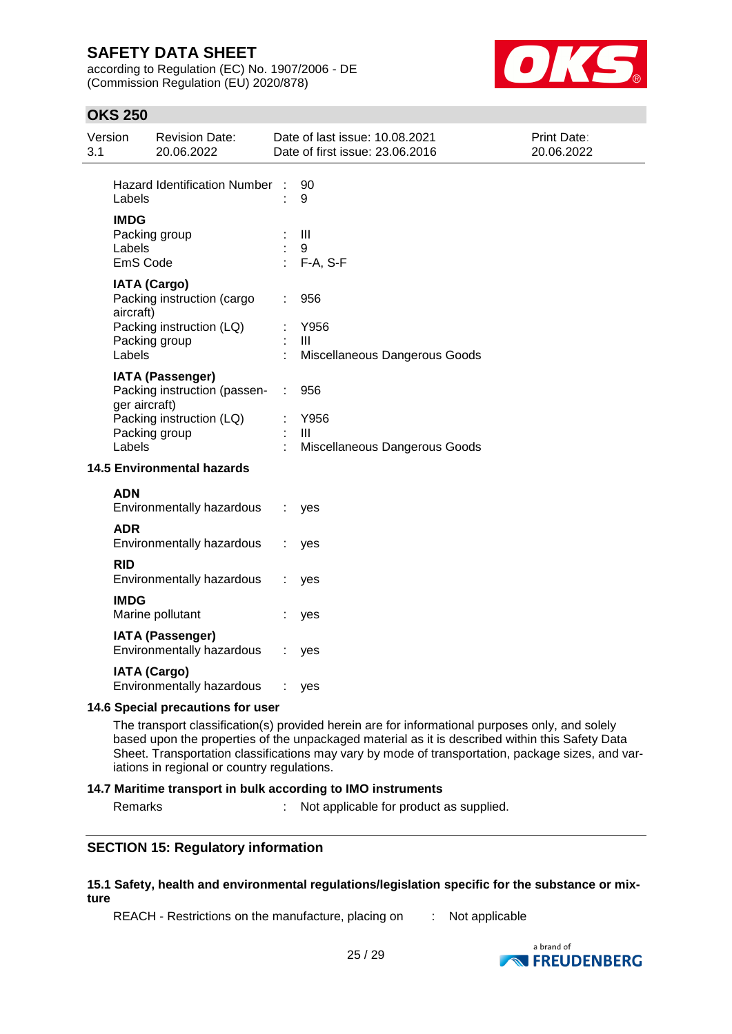according to Regulation (EC) No. 1907/2006 - DE (Commission Regulation (EU) 2020/878)



# **OKS 250**

| Version<br>3.1 |                                   | <b>Revision Date:</b><br>20.06.2022                                                            |   | Date of last issue: 10.08.2021<br>Date of first issue: 23.06.2016 | Print Date:<br>20.06.2022 |  |
|----------------|-----------------------------------|------------------------------------------------------------------------------------------------|---|-------------------------------------------------------------------|---------------------------|--|
|                | Labels                            | <b>Hazard Identification Number</b>                                                            | ÷ | 90<br>9                                                           |                           |  |
|                | <b>IMDG</b><br>Labels<br>EmS Code | Packing group                                                                                  |   | $\mathbf{III}$<br>9<br>F-A, S-F                                   |                           |  |
|                | aircraft)                         | <b>IATA (Cargo)</b><br>Packing instruction (cargo<br>Packing instruction (LQ)<br>Packing group |   | 956<br>Y956<br>Ш                                                  |                           |  |
|                | Labels                            | <b>IATA (Passenger)</b>                                                                        |   | Miscellaneous Dangerous Goods                                     |                           |  |
|                | ger aircraft)<br>Labels           | Packing instruction (passen-<br>Packing instruction (LQ)<br>Packing group                      | ÷ | 956<br>Y956<br>Ш<br>Miscellaneous Dangerous Goods                 |                           |  |
|                |                                   | <b>14.5 Environmental hazards</b>                                                              |   |                                                                   |                           |  |
|                | <b>ADN</b>                        | Environmentally hazardous                                                                      |   | yes                                                               |                           |  |
|                | <b>ADR</b>                        | Environmentally hazardous                                                                      |   | yes                                                               |                           |  |
|                | <b>RID</b>                        | Environmentally hazardous                                                                      |   | yes                                                               |                           |  |
|                | <b>IMDG</b>                       | Marine pollutant                                                                               |   | yes                                                               |                           |  |
|                |                                   | <b>IATA (Passenger)</b><br>Environmentally hazardous                                           |   | yes                                                               |                           |  |
|                |                                   | <b>IATA (Cargo)</b><br>Environmentally hazardous                                               |   | yes                                                               |                           |  |
|                | 14.6 Special precautions for user |                                                                                                |   |                                                                   |                           |  |

The transport classification(s) provided herein are for informational purposes only, and solely based upon the properties of the unpackaged material as it is described within this Safety Data Sheet. Transportation classifications may vary by mode of transportation, package sizes, and variations in regional or country regulations.

#### **14.7 Maritime transport in bulk according to IMO instruments**

Remarks : Not applicable for product as supplied.

### **SECTION 15: Regulatory information**

#### **15.1 Safety, health and environmental regulations/legislation specific for the substance or mixture**

REACH - Restrictions on the manufacture, placing on : Not applicable

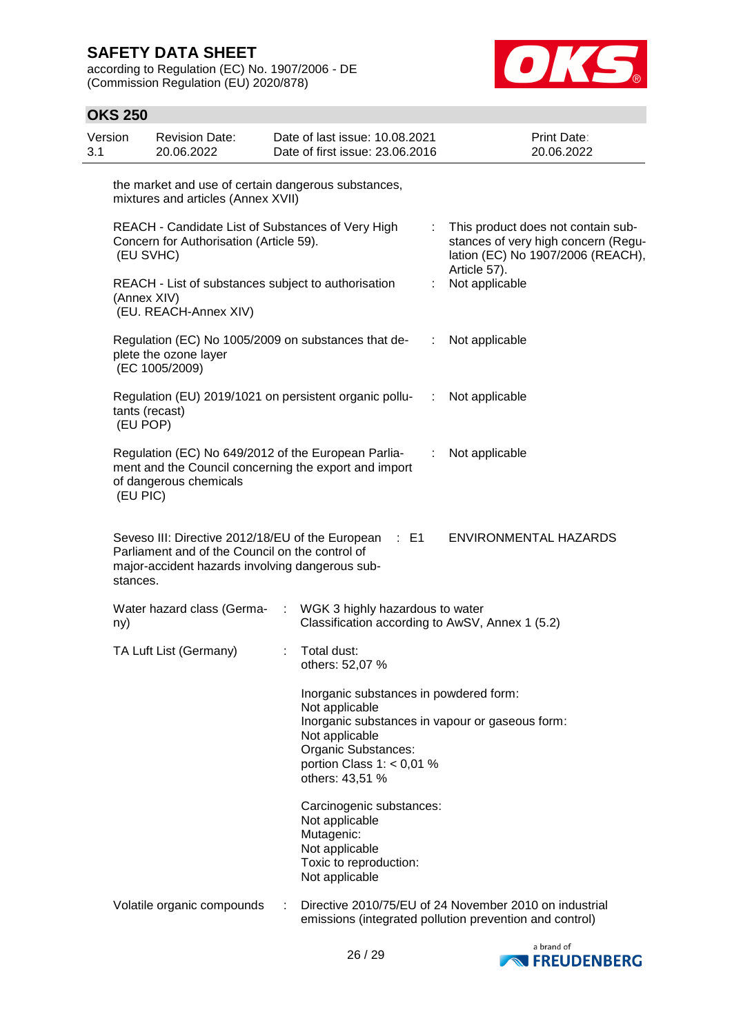according to Regulation (EC) No. 1907/2006 - DE (Commission Regulation (EU) 2020/878)



| <b>OKS 250</b>                                                                                            |                                                                                                                                                                           |                                                                                                                                                                                                        |                                                                                                                        |                |                                                                                                                                |
|-----------------------------------------------------------------------------------------------------------|---------------------------------------------------------------------------------------------------------------------------------------------------------------------------|--------------------------------------------------------------------------------------------------------------------------------------------------------------------------------------------------------|------------------------------------------------------------------------------------------------------------------------|----------------|--------------------------------------------------------------------------------------------------------------------------------|
| Version<br>3.1                                                                                            | <b>Revision Date:</b><br>20.06.2022                                                                                                                                       |                                                                                                                                                                                                        | Date of last issue: 10.08.2021<br>Date of first issue: 23.06.2016                                                      |                | Print Date:<br>20.06.2022                                                                                                      |
|                                                                                                           | the market and use of certain dangerous substances,<br>mixtures and articles (Annex XVII)                                                                                 |                                                                                                                                                                                                        |                                                                                                                        |                |                                                                                                                                |
| REACH - Candidate List of Substances of Very High<br>Concern for Authorisation (Article 59).<br>(EU SVHC) |                                                                                                                                                                           |                                                                                                                                                                                                        |                                                                                                                        | ÷              | This product does not contain sub-<br>stances of very high concern (Regu-<br>lation (EC) No 1907/2006 (REACH),<br>Article 57). |
|                                                                                                           | REACH - List of substances subject to authorisation<br>(Annex XIV)<br>(EU. REACH-Annex XIV)                                                                               |                                                                                                                                                                                                        | t                                                                                                                      | Not applicable |                                                                                                                                |
|                                                                                                           | Regulation (EC) No 1005/2009 on substances that de-<br>plete the ozone layer<br>(EC 1005/2009)                                                                            |                                                                                                                                                                                                        |                                                                                                                        | ÷              | Not applicable                                                                                                                 |
|                                                                                                           | Regulation (EU) 2019/1021 on persistent organic pollu-<br><br>Not applicable<br>tants (recast)<br>(EU POP)                                                                |                                                                                                                                                                                                        |                                                                                                                        |                |                                                                                                                                |
|                                                                                                           | Regulation (EC) No 649/2012 of the European Parlia-<br>Not applicable<br>÷<br>ment and the Council concerning the export and import<br>of dangerous chemicals<br>(EU PIC) |                                                                                                                                                                                                        |                                                                                                                        |                |                                                                                                                                |
| stances.                                                                                                  | Parliament and of the Council on the control of<br>major-accident hazards involving dangerous sub-                                                                        |                                                                                                                                                                                                        | Seveso III: Directive 2012/18/EU of the European : E1                                                                  |                | ENVIRONMENTAL HAZARDS                                                                                                          |
| ny)                                                                                                       | Water hazard class (Germa-                                                                                                                                                | ÷.                                                                                                                                                                                                     | WGK 3 highly hazardous to water<br>Classification according to AwSV, Annex 1 (5.2)                                     |                |                                                                                                                                |
|                                                                                                           | TA Luft List (Germany)                                                                                                                                                    |                                                                                                                                                                                                        | Total dust:<br>others: 52,07 %                                                                                         |                |                                                                                                                                |
|                                                                                                           |                                                                                                                                                                           | Inorganic substances in powdered form:<br>Not applicable<br>Inorganic substances in vapour or gaseous form:<br>Not applicable<br>Organic Substances:<br>portion Class $1: < 0.01$ %<br>others: 43,51 % |                                                                                                                        |                |                                                                                                                                |
|                                                                                                           |                                                                                                                                                                           |                                                                                                                                                                                                        | Carcinogenic substances:<br>Not applicable<br>Mutagenic:<br>Not applicable<br>Toxic to reproduction:<br>Not applicable |                |                                                                                                                                |
|                                                                                                           | Volatile organic compounds                                                                                                                                                | ÷                                                                                                                                                                                                      |                                                                                                                        |                | Directive 2010/75/EU of 24 November 2010 on industrial<br>emissions (integrated pollution prevention and control)              |

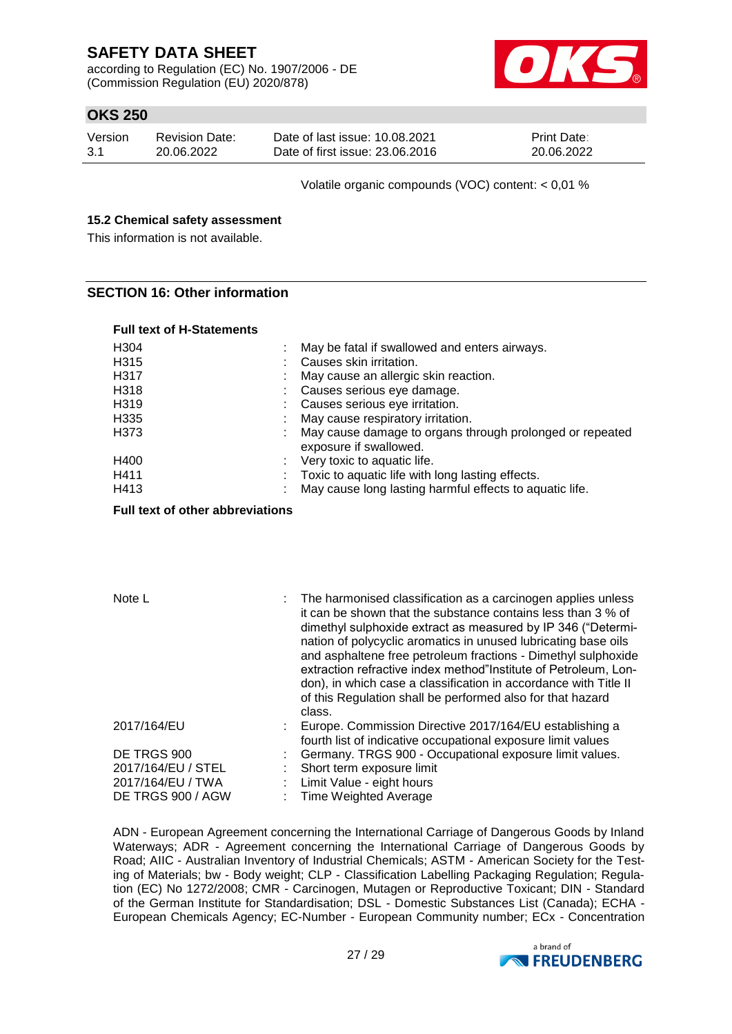according to Regulation (EC) No. 1907/2006 - DE (Commission Regulation (EU) 2020/878)



# **OKS 250**

| Version | <b>Revision Date:</b> | Date of last issue: 10.08.2021  | <b>Print Date:</b> |
|---------|-----------------------|---------------------------------|--------------------|
| -3.1    | 20.06.2022            | Date of first issue: 23,06,2016 | 20.06.2022         |

Volatile organic compounds (VOC) content: < 0,01 %

#### **15.2 Chemical safety assessment**

This information is not available.

### **SECTION 16: Other information**

| <b>Full text of H-Statements</b> |                                                                                                                                                         |
|----------------------------------|---------------------------------------------------------------------------------------------------------------------------------------------------------|
| H <sub>304</sub><br>H315<br>H317 | May be fatal if swallowed and enters airways.<br>Causes skin irritation.                                                                                |
| H318<br>H319                     | May cause an allergic skin reaction.<br>: Causes serious eye damage.<br>: Causes serious eye irritation.                                                |
| H <sub>335</sub><br>H373         | May cause respiratory irritation.<br>May cause damage to organs through prolonged or repeated<br>exposure if swallowed.                                 |
| H400<br>H411<br>H413             | $\therefore$ Very toxic to aquatic life.<br>Toxic to aquatic life with long lasting effects.<br>May cause long lasting harmful effects to aquatic life. |

#### **Full text of other abbreviations**

| Note L             | : The harmonised classification as a carcinogen applies unless<br>it can be shown that the substance contains less than 3 % of<br>dimethyl sulphoxide extract as measured by IP 346 ("Determi-<br>nation of polycyclic aromatics in unused lubricating base oils<br>and asphaltene free petroleum fractions - Dimethyl sulphoxide<br>extraction refractive index method"Institute of Petroleum, Lon-<br>don), in which case a classification in accordance with Title II<br>of this Regulation shall be performed also for that hazard<br>class. |
|--------------------|--------------------------------------------------------------------------------------------------------------------------------------------------------------------------------------------------------------------------------------------------------------------------------------------------------------------------------------------------------------------------------------------------------------------------------------------------------------------------------------------------------------------------------------------------|
| 2017/164/EU        | Europe. Commission Directive 2017/164/EU establishing a<br>fourth list of indicative occupational exposure limit values                                                                                                                                                                                                                                                                                                                                                                                                                          |
| DE TRGS 900        | Germany. TRGS 900 - Occupational exposure limit values.                                                                                                                                                                                                                                                                                                                                                                                                                                                                                          |
| 2017/164/EU / STEL | Short term exposure limit                                                                                                                                                                                                                                                                                                                                                                                                                                                                                                                        |
| 2017/164/EU / TWA  | Limit Value - eight hours                                                                                                                                                                                                                                                                                                                                                                                                                                                                                                                        |
| DE TRGS 900 / AGW  | <b>Time Weighted Average</b>                                                                                                                                                                                                                                                                                                                                                                                                                                                                                                                     |

ADN - European Agreement concerning the International Carriage of Dangerous Goods by Inland Waterways; ADR - Agreement concerning the International Carriage of Dangerous Goods by Road; AIIC - Australian Inventory of Industrial Chemicals; ASTM - American Society for the Testing of Materials; bw - Body weight; CLP - Classification Labelling Packaging Regulation; Regulation (EC) No 1272/2008; CMR - Carcinogen, Mutagen or Reproductive Toxicant; DIN - Standard of the German Institute for Standardisation; DSL - Domestic Substances List (Canada); ECHA - European Chemicals Agency; EC-Number - European Community number; ECx - Concentration

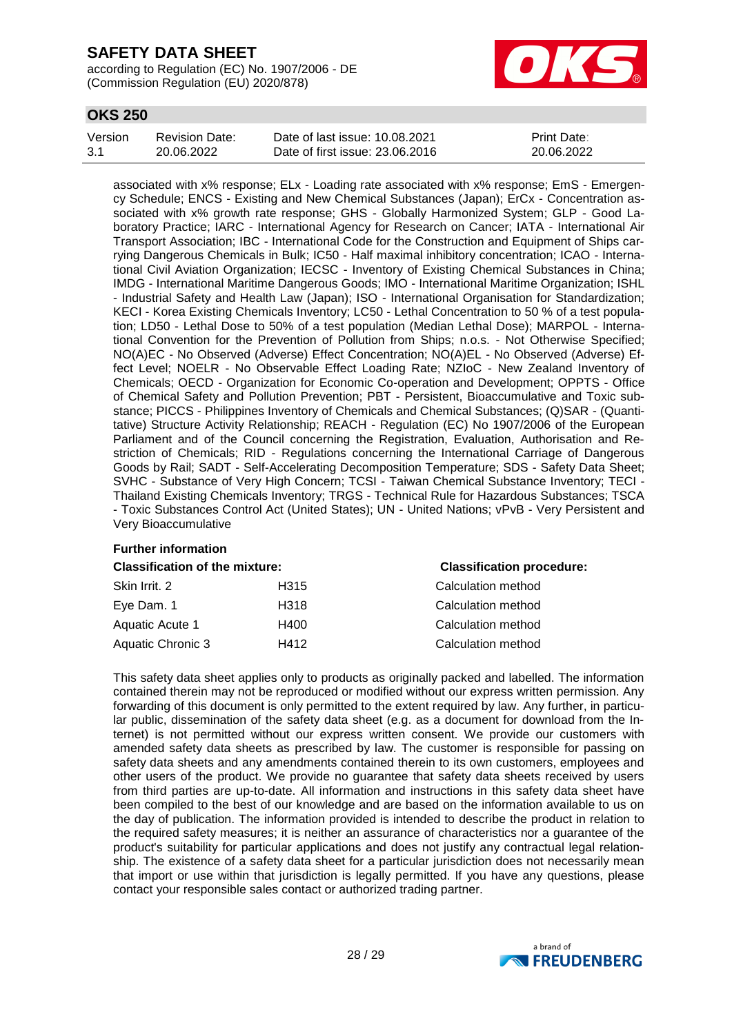according to Regulation (EC) No. 1907/2006 - DE (Commission Regulation (EU) 2020/878)



# **OKS 250**

| Version | Revision Date: | Date of last issue: 10.08.2021  | <b>Print Date:</b> |
|---------|----------------|---------------------------------|--------------------|
| 3.1     | 20.06.2022     | Date of first issue: 23,06,2016 | 20.06.2022         |

associated with x% response; ELx - Loading rate associated with x% response; EmS - Emergency Schedule; ENCS - Existing and New Chemical Substances (Japan); ErCx - Concentration associated with x% growth rate response; GHS - Globally Harmonized System; GLP - Good Laboratory Practice; IARC - International Agency for Research on Cancer; IATA - International Air Transport Association; IBC - International Code for the Construction and Equipment of Ships carrying Dangerous Chemicals in Bulk; IC50 - Half maximal inhibitory concentration; ICAO - International Civil Aviation Organization; IECSC - Inventory of Existing Chemical Substances in China; IMDG - International Maritime Dangerous Goods; IMO - International Maritime Organization; ISHL - Industrial Safety and Health Law (Japan); ISO - International Organisation for Standardization; KECI - Korea Existing Chemicals Inventory; LC50 - Lethal Concentration to 50 % of a test population; LD50 - Lethal Dose to 50% of a test population (Median Lethal Dose); MARPOL - International Convention for the Prevention of Pollution from Ships; n.o.s. - Not Otherwise Specified; NO(A)EC - No Observed (Adverse) Effect Concentration; NO(A)EL - No Observed (Adverse) Effect Level; NOELR - No Observable Effect Loading Rate; NZIoC - New Zealand Inventory of Chemicals; OECD - Organization for Economic Co-operation and Development; OPPTS - Office of Chemical Safety and Pollution Prevention; PBT - Persistent, Bioaccumulative and Toxic substance; PICCS - Philippines Inventory of Chemicals and Chemical Substances; (Q)SAR - (Quantitative) Structure Activity Relationship; REACH - Regulation (EC) No 1907/2006 of the European Parliament and of the Council concerning the Registration, Evaluation, Authorisation and Restriction of Chemicals; RID - Regulations concerning the International Carriage of Dangerous Goods by Rail; SADT - Self-Accelerating Decomposition Temperature; SDS - Safety Data Sheet; SVHC - Substance of Very High Concern; TCSI - Taiwan Chemical Substance Inventory; TECI - Thailand Existing Chemicals Inventory; TRGS - Technical Rule for Hazardous Substances; TSCA - Toxic Substances Control Act (United States); UN - United Nations; vPvB - Very Persistent and Very Bioaccumulative

### **Further information**

| <b>Classification of the mixture:</b> |                  | <b>Classification procedure:</b> |  |
|---------------------------------------|------------------|----------------------------------|--|
| Skin Irrit. 2                         | H <sub>315</sub> | Calculation method               |  |
| Eye Dam. 1                            | H318             | Calculation method               |  |
| Aquatic Acute 1                       | H400             | Calculation method               |  |
| Aquatic Chronic 3                     | H412             | Calculation method               |  |
|                                       |                  |                                  |  |

This safety data sheet applies only to products as originally packed and labelled. The information contained therein may not be reproduced or modified without our express written permission. Any forwarding of this document is only permitted to the extent required by law. Any further, in particular public, dissemination of the safety data sheet (e.g. as a document for download from the Internet) is not permitted without our express written consent. We provide our customers with amended safety data sheets as prescribed by law. The customer is responsible for passing on safety data sheets and any amendments contained therein to its own customers, employees and other users of the product. We provide no guarantee that safety data sheets received by users from third parties are up-to-date. All information and instructions in this safety data sheet have been compiled to the best of our knowledge and are based on the information available to us on the day of publication. The information provided is intended to describe the product in relation to the required safety measures; it is neither an assurance of characteristics nor a guarantee of the product's suitability for particular applications and does not justify any contractual legal relationship. The existence of a safety data sheet for a particular jurisdiction does not necessarily mean that import or use within that jurisdiction is legally permitted. If you have any questions, please contact your responsible sales contact or authorized trading partner.